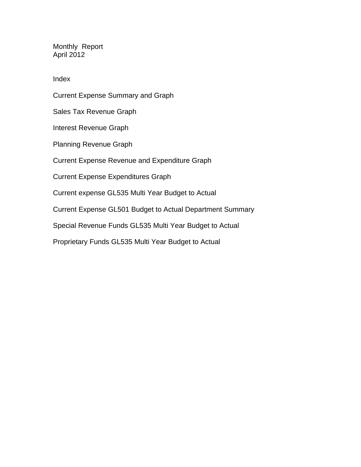Monthly Report April 2012

Index

Current Expense Summary and Graph Sales Tax Revenue Graph Interest Revenue Graph Planning Revenue Graph Current Expense Revenue and Expenditure Graph Current Expense Expenditures Graph Current expense GL535 Multi Year Budget to Actual Current Expense GL501 Budget to Actual Department Summary Special Revenue Funds GL535 Multi Year Budget to Actual Proprietary Funds GL535 Multi Year Budget to Actual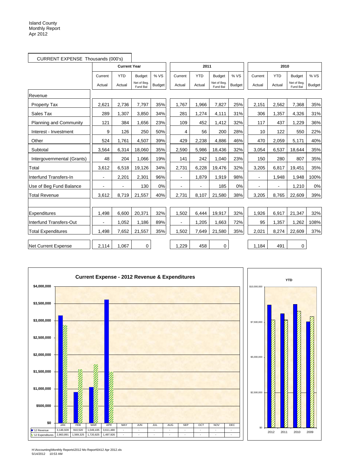| CURRENT EXPENSE Thousands (000's) |                |                     |                         |               |                |            |                        |               |                |            |                         |               |
|-----------------------------------|----------------|---------------------|-------------------------|---------------|----------------|------------|------------------------|---------------|----------------|------------|-------------------------|---------------|
|                                   |                | <b>Current Year</b> |                         |               |                | 2011       |                        |               |                | 2010       |                         |               |
|                                   | Current        | <b>YTD</b>          | <b>Budget</b>           | % VS          | Current        | <b>YTD</b> | <b>Budget</b>          | % VS          | Current        | <b>YTD</b> | <b>Budget</b>           | % VS          |
|                                   | Actual         | Actual              | Net of Beg.<br>Fund Bal | <b>Budget</b> | Actual         | Actual     | Net of Beg<br>Fund Bal | <b>Budget</b> | Actual         | Actual     | Net of Beg.<br>Fund Bal | <b>Budget</b> |
| Revenue                           |                |                     |                         |               |                |            |                        |               |                |            |                         |               |
| <b>Property Tax</b>               | 2,621          | 2,736               | 7,797                   | 35%           | 1,767          | 1,966      | 7,827                  | 25%           | 2,151          | 2,562      | 7,368                   | 35%           |
| Sales Tax                         | 289            | 1.307               | 3,850                   | 34%           | 281            | 1,274      | 4,111                  | 31%           | 306            | 1.357      | 4,326                   | 31%           |
| <b>Planning and Community</b>     | 121            | 384                 | 1,656                   | 23%           | 109            | 452        | 1,412                  | 32%           | 117            | 437        | 1,229                   | 36%           |
| Interest - Investment             | 9              | 126                 | 250                     | 50%           | 4              | 56         | 200                    | 28%           | 10             | 122        | 550                     | 22%           |
| Other                             | 524            | 1,761               | 4,507                   | 39%           | 429            | 2,238      | 4,886                  | 46%           | 470            | 2,059      | 5,171                   | 40%           |
| Subtotal                          | 3,564          | 6,314               | 18,060                  | 35%           | 2,590          | 5,986      | 18,436                 | 32%           | 3,054          | 6,537      | 18,644                  | 35%           |
| Intergovernmental (Grants)        | 48             | 204                 | 1,066                   | 19%           | 141            | 242        | 1,040                  | 23%           | 150            | 280        | 807                     | 35%           |
| Total                             | 3,612          | 6,518               | 19,126                  | 34%           | 2,731          | 6,228      | 19,476                 | 32%           | 3,205          | 6,817      | 19,451                  | 35%           |
| Interfund Transfers-In            | $\blacksquare$ | 2,201               | 2,301                   | 96%           | $\blacksquare$ | 1,879      | 1,919                  | 98%           | $\blacksquare$ | 1,948      | 1,948                   | 100%          |
| Use of Beg Fund Balance           |                |                     | 130                     | 0%            |                |            | 185                    | 0%            | ä,             | ä,         | 1,210                   | 0%            |
| <b>Total Revenue</b>              | 3,612          | 8,719               | 21,557                  | 40%           | 2,731          | 8,107      | 21,580                 | 38%           | 3,205          | 8,765      | 22,609                  | 39%           |
|                                   |                |                     |                         |               |                |            |                        |               |                |            |                         |               |
| Expenditures                      | 1,498          | 6,600               | 20,371                  | 32%           | 1,502          | 6,444      | 19,917                 | 32%           | 1,926          | 6,917      | 21,347                  | 32%           |
| Interfund Transfers-Out           |                | 1,052               | 1,186                   | 89%           |                | 1,205      | 1,663                  | 72%           | 95             | 1,357      | 1,262                   | 108%          |
| <b>Total Expenditures</b>         | 1,498          | 7,652               | 21,557                  | 35%           | 1,502          | 7,649      | 21,580                 | 35%           | 2,021          | 8,274      | 22,609                  | 37%           |
| <b>Net Current Expense</b>        | 2,114          | 1.067               | $\mathbf 0$             |               | 1,229          | 458        | 0                      |               | 1,184          | 491        | 0                       |               |





H:\Accounting\Monthly Reports\2012 Mo Report\0412 Apr 2012.xls 5/14/2012 10:53 AM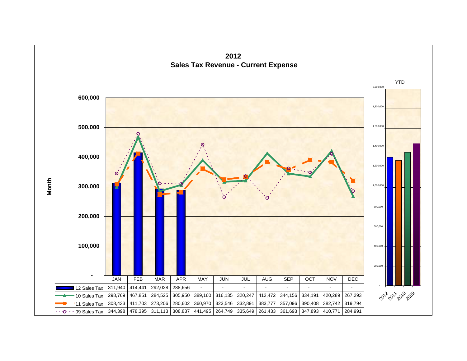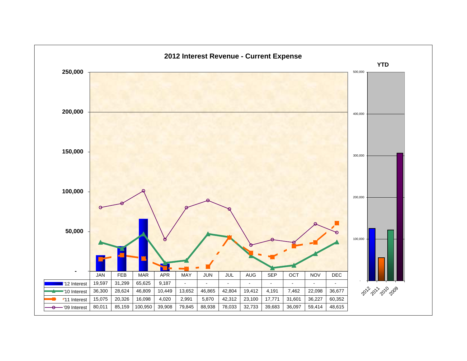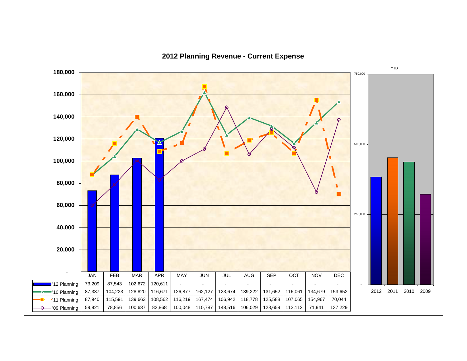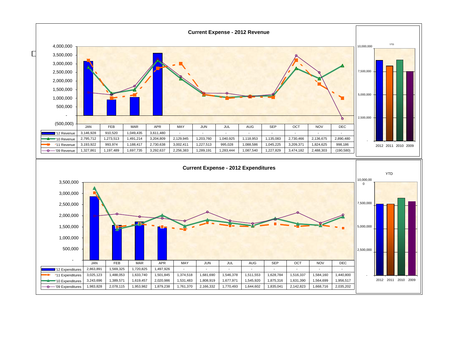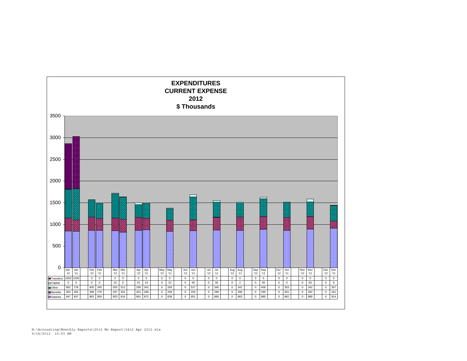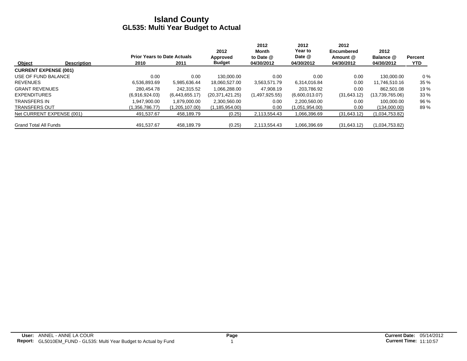|                              |                    |                                    |                | 2012            | 2012<br>Month  | 2012<br>Year to | 2012<br>Encumbered | 2012            |                |
|------------------------------|--------------------|------------------------------------|----------------|-----------------|----------------|-----------------|--------------------|-----------------|----------------|
|                              |                    | <b>Prior Years to Date Actuals</b> |                | Approved        | to Date @      | Date @          | Amount @           | Balance @       | <b>Percent</b> |
| Object                       | <b>Description</b> | 2010                               | 2011           | <b>Budget</b>   | 04/30/2012     | 04/30/2012      | 04/30/2012         | 04/30/2012      | YTD.           |
| <b>CURRENT EXPENSE (001)</b> |                    |                                    |                |                 |                |                 |                    |                 |                |
| USE OF FUND BALANCE          |                    | 0.00                               | 0.00           | 130.000.00      | 0.00           | 0.00            | 0.00               | 130.000.00      | $0\%$          |
| <b>REVENUES</b>              |                    | 6,536,893.69                       | 5,985,636.44   | 18,060,527.00   | 3,563,571.79   | 6,314,016.84    | 0.00               | 11,746,510.16   | 35 %           |
| <b>GRANT REVENUES</b>        |                    | 280.454.78                         | 242.315.52     | 1.066.288.00    | 47.908.19      | 203.786.92      | 0.00               | 862.501.08      | 19 %           |
| <b>EXPENDITURES</b>          |                    | (6,916,924.03)                     | (6,443,655.17) | (20.371.421.25) | (1,497,925.55) | (6,600,013.07)  | (31,643.12)        | (13,739,765.06) | 33 %           |
| <b>TRANSFERS IN</b>          |                    | .947.900.00                        | 1,879,000.00   | 2,300,560.00    | 0.00           | 2.200.560.00    | 0.00               | 100.000.00      | 96 %           |
| <b>TRANSFERS OUT</b>         |                    | (1,356,786.77)                     | 1,205,107.00)  | (1,185,954.00)  | 0.00           | (1,051,954.00)  | 0.00               | (134,000.00)    | 89%            |
| Net CURRENT EXPENSE (001)    |                    | 491.537.67                         | 458.189.79     | (0.25)          | 2,113,554.43   | 1,066,396.69    | (31,643.12)        | (1,034,753.82)  |                |
| <b>Grand Total All Funds</b> |                    | 491.537.67                         | 458.189.79     | (0.25)          | 2,113,554.43   | 1,066,396.69    | (31,643.12)        | (1,034,753.82)  |                |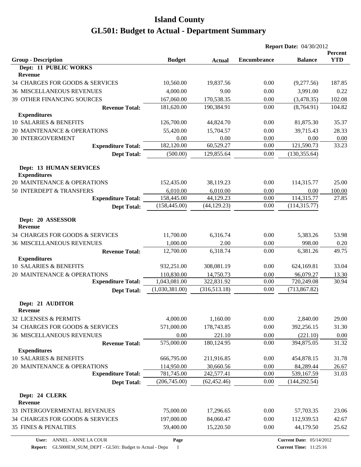| <b>Encumbrance</b><br><b>YTD</b><br><b>Budget</b><br><b>Balance</b><br><b>Actual</b><br>Dept: 11 PUBLIC WORKS<br>Revenue<br>187.85<br>10,560.00<br>19,837.56<br>0.00<br>(9,277.56)<br>4,000.00<br><b>36 MISCELLANEOUS REVENUES</b><br>9.00<br>0.00<br>3,991.00<br>0.22<br>170,538.35<br>39 OTHER FINANCING SOURCES<br>167,060.00<br>0.00<br>(3,478.35)<br>102.08<br>104.82<br>181,620.00<br>190,384.91<br>0.00<br>(8,764.91)<br><b>Revenue Total:</b><br><b>Expenditures</b><br>10 SALARIES & BENEFITS<br>126,700.00<br>81,875.30<br>35.37<br>44,824.70<br>0.00<br>20 MAINTENANCE & OPERATIONS<br>55,420.00<br>15,704.57<br>0.00<br>39,715.43<br>28.33<br>0.00<br><b>30 INTERGOVERMENT</b><br>0.00<br>0.00<br>0.00<br>$0.00\,$<br>182,120.00<br>60,529.27<br>121,590.73<br>0.00<br>33.23<br><b>Expenditure Total:</b><br>(500.00)<br>129,855.64<br>(130, 355.64)<br><b>Dept Total:</b><br>0.00<br><b>Dept: 13 HUMAN SERVICES</b><br><b>Expenditures</b><br>114,315.77<br>25.00<br>152,435.00<br>38,119.23<br>0.00<br>6,010.00<br>6,010.00<br>0.00<br>0.00<br>100.00<br>114,315.77<br>44,129.23<br>158,445.00<br>0.00<br>27.85<br><b>Expenditure Total:</b><br>(158, 445.00)<br>(44, 129.23)<br>0.00<br>(114, 315.77)<br><b>Dept Total:</b><br>Dept: 20 ASSESSOR<br><b>Revenue</b><br>11,700.00<br>53.98<br>6,316.74<br>0.00<br>5,383.26<br>1,000.00<br>998.00<br>2.00<br>0.00<br>0.20<br>6,318.74<br>12,700.00<br>0.00<br>6,381.26<br>49.75<br><b>Revenue Total:</b><br><b>Expenditures</b><br>10 SALARIES & BENEFITS<br>932,251.00<br>308,081.19<br>33.04<br>0.00<br>624,169.81<br>110,830.00<br>14,750.73<br>0.00<br>96,079.27<br>13.30<br><b>Expenditure Total:</b><br>30.94<br>1,043,081.00<br>322,831.92<br>0.00<br>720,249.08<br>(1,030,381.00)<br>(316,513.18)<br>0.00<br>(713, 867.82)<br><b>Dept Total:</b><br>Dept: 21 AUDITOR<br><b>Revenue</b><br>32 LICENSES & PERMITS<br>4,000.00<br>29.00<br>1,160.00<br>0.00<br>2,840.00<br>34 CHARGES FOR GOODS & SERVICES<br>571,000.00<br>0.00<br>392,256.15<br>31.30<br>178,743.85<br><b>36 MISCELLANEOUS REVENUES</b><br>0.00<br>221.10<br>0.00<br>(221.10)<br>0.00<br>575,000.00<br>180,124.95<br>0.00<br>394,875.05<br>31.32<br><b>Revenue Total:</b><br><b>Expenditures</b><br>10 SALARIES & BENEFITS<br>666,795.00<br>211,916.85<br>0.00<br>454,878.15<br>31.78<br>20 MAINTENANCE & OPERATIONS<br>114,950.00<br>30,660.56<br>0.00<br>26.67<br>84,289.44<br><b>Expenditure Total:</b><br>781,745.00<br>242,577.41<br>0.00<br>31.03<br>539,167.59<br>(206,745.00)<br>(62, 452.46)<br>0.00<br>(144, 292.54)<br><b>Dept Total:</b><br>Dept: 24 CLERK<br><b>Revenue</b><br>75,000.00<br>33 INTERGOVERMENTAL REVENUES<br>17,296.65<br>0.00<br>57,703.35<br>23.06<br>34 CHARGES FOR GOODS & SERVICES<br>197,000.00<br>84,060.47<br>0.00<br>42.67<br>112,939.53<br><b>35 FINES &amp; PENALTIES</b><br>59,400.00<br>15,220.50<br>0.00<br>25.62<br>44,179.50<br><b>Current Date: 05/14/2012</b> |                                  |      | <b>Report Date: 04/30/2012</b> |  |         |
|------------------------------------------------------------------------------------------------------------------------------------------------------------------------------------------------------------------------------------------------------------------------------------------------------------------------------------------------------------------------------------------------------------------------------------------------------------------------------------------------------------------------------------------------------------------------------------------------------------------------------------------------------------------------------------------------------------------------------------------------------------------------------------------------------------------------------------------------------------------------------------------------------------------------------------------------------------------------------------------------------------------------------------------------------------------------------------------------------------------------------------------------------------------------------------------------------------------------------------------------------------------------------------------------------------------------------------------------------------------------------------------------------------------------------------------------------------------------------------------------------------------------------------------------------------------------------------------------------------------------------------------------------------------------------------------------------------------------------------------------------------------------------------------------------------------------------------------------------------------------------------------------------------------------------------------------------------------------------------------------------------------------------------------------------------------------------------------------------------------------------------------------------------------------------------------------------------------------------------------------------------------------------------------------------------------------------------------------------------------------------------------------------------------------------------------------------------------------------------------------------------------------------------------------------------------------------------------------------------------------------------------------------------------------------------------------------------------------------------------------------------------------------------------------------------------------------------------------------------------------------------------------------------------------------------------------|----------------------------------|------|--------------------------------|--|---------|
|                                                                                                                                                                                                                                                                                                                                                                                                                                                                                                                                                                                                                                                                                                                                                                                                                                                                                                                                                                                                                                                                                                                                                                                                                                                                                                                                                                                                                                                                                                                                                                                                                                                                                                                                                                                                                                                                                                                                                                                                                                                                                                                                                                                                                                                                                                                                                                                                                                                                                                                                                                                                                                                                                                                                                                                                                                                                                                                                                | <b>Group - Description</b>       |      |                                |  | Percent |
|                                                                                                                                                                                                                                                                                                                                                                                                                                                                                                                                                                                                                                                                                                                                                                                                                                                                                                                                                                                                                                                                                                                                                                                                                                                                                                                                                                                                                                                                                                                                                                                                                                                                                                                                                                                                                                                                                                                                                                                                                                                                                                                                                                                                                                                                                                                                                                                                                                                                                                                                                                                                                                                                                                                                                                                                                                                                                                                                                |                                  |      |                                |  |         |
|                                                                                                                                                                                                                                                                                                                                                                                                                                                                                                                                                                                                                                                                                                                                                                                                                                                                                                                                                                                                                                                                                                                                                                                                                                                                                                                                                                                                                                                                                                                                                                                                                                                                                                                                                                                                                                                                                                                                                                                                                                                                                                                                                                                                                                                                                                                                                                                                                                                                                                                                                                                                                                                                                                                                                                                                                                                                                                                                                | 34 CHARGES FOR GOODS & SERVICES  |      |                                |  |         |
|                                                                                                                                                                                                                                                                                                                                                                                                                                                                                                                                                                                                                                                                                                                                                                                                                                                                                                                                                                                                                                                                                                                                                                                                                                                                                                                                                                                                                                                                                                                                                                                                                                                                                                                                                                                                                                                                                                                                                                                                                                                                                                                                                                                                                                                                                                                                                                                                                                                                                                                                                                                                                                                                                                                                                                                                                                                                                                                                                |                                  |      |                                |  |         |
|                                                                                                                                                                                                                                                                                                                                                                                                                                                                                                                                                                                                                                                                                                                                                                                                                                                                                                                                                                                                                                                                                                                                                                                                                                                                                                                                                                                                                                                                                                                                                                                                                                                                                                                                                                                                                                                                                                                                                                                                                                                                                                                                                                                                                                                                                                                                                                                                                                                                                                                                                                                                                                                                                                                                                                                                                                                                                                                                                |                                  |      |                                |  |         |
|                                                                                                                                                                                                                                                                                                                                                                                                                                                                                                                                                                                                                                                                                                                                                                                                                                                                                                                                                                                                                                                                                                                                                                                                                                                                                                                                                                                                                                                                                                                                                                                                                                                                                                                                                                                                                                                                                                                                                                                                                                                                                                                                                                                                                                                                                                                                                                                                                                                                                                                                                                                                                                                                                                                                                                                                                                                                                                                                                |                                  |      |                                |  |         |
|                                                                                                                                                                                                                                                                                                                                                                                                                                                                                                                                                                                                                                                                                                                                                                                                                                                                                                                                                                                                                                                                                                                                                                                                                                                                                                                                                                                                                                                                                                                                                                                                                                                                                                                                                                                                                                                                                                                                                                                                                                                                                                                                                                                                                                                                                                                                                                                                                                                                                                                                                                                                                                                                                                                                                                                                                                                                                                                                                |                                  |      |                                |  |         |
|                                                                                                                                                                                                                                                                                                                                                                                                                                                                                                                                                                                                                                                                                                                                                                                                                                                                                                                                                                                                                                                                                                                                                                                                                                                                                                                                                                                                                                                                                                                                                                                                                                                                                                                                                                                                                                                                                                                                                                                                                                                                                                                                                                                                                                                                                                                                                                                                                                                                                                                                                                                                                                                                                                                                                                                                                                                                                                                                                |                                  |      |                                |  |         |
|                                                                                                                                                                                                                                                                                                                                                                                                                                                                                                                                                                                                                                                                                                                                                                                                                                                                                                                                                                                                                                                                                                                                                                                                                                                                                                                                                                                                                                                                                                                                                                                                                                                                                                                                                                                                                                                                                                                                                                                                                                                                                                                                                                                                                                                                                                                                                                                                                                                                                                                                                                                                                                                                                                                                                                                                                                                                                                                                                |                                  |      |                                |  |         |
|                                                                                                                                                                                                                                                                                                                                                                                                                                                                                                                                                                                                                                                                                                                                                                                                                                                                                                                                                                                                                                                                                                                                                                                                                                                                                                                                                                                                                                                                                                                                                                                                                                                                                                                                                                                                                                                                                                                                                                                                                                                                                                                                                                                                                                                                                                                                                                                                                                                                                                                                                                                                                                                                                                                                                                                                                                                                                                                                                |                                  |      |                                |  |         |
|                                                                                                                                                                                                                                                                                                                                                                                                                                                                                                                                                                                                                                                                                                                                                                                                                                                                                                                                                                                                                                                                                                                                                                                                                                                                                                                                                                                                                                                                                                                                                                                                                                                                                                                                                                                                                                                                                                                                                                                                                                                                                                                                                                                                                                                                                                                                                                                                                                                                                                                                                                                                                                                                                                                                                                                                                                                                                                                                                |                                  |      |                                |  |         |
|                                                                                                                                                                                                                                                                                                                                                                                                                                                                                                                                                                                                                                                                                                                                                                                                                                                                                                                                                                                                                                                                                                                                                                                                                                                                                                                                                                                                                                                                                                                                                                                                                                                                                                                                                                                                                                                                                                                                                                                                                                                                                                                                                                                                                                                                                                                                                                                                                                                                                                                                                                                                                                                                                                                                                                                                                                                                                                                                                |                                  |      |                                |  |         |
|                                                                                                                                                                                                                                                                                                                                                                                                                                                                                                                                                                                                                                                                                                                                                                                                                                                                                                                                                                                                                                                                                                                                                                                                                                                                                                                                                                                                                                                                                                                                                                                                                                                                                                                                                                                                                                                                                                                                                                                                                                                                                                                                                                                                                                                                                                                                                                                                                                                                                                                                                                                                                                                                                                                                                                                                                                                                                                                                                |                                  |      |                                |  |         |
|                                                                                                                                                                                                                                                                                                                                                                                                                                                                                                                                                                                                                                                                                                                                                                                                                                                                                                                                                                                                                                                                                                                                                                                                                                                                                                                                                                                                                                                                                                                                                                                                                                                                                                                                                                                                                                                                                                                                                                                                                                                                                                                                                                                                                                                                                                                                                                                                                                                                                                                                                                                                                                                                                                                                                                                                                                                                                                                                                | 20 MAINTENANCE & OPERATIONS      |      |                                |  |         |
|                                                                                                                                                                                                                                                                                                                                                                                                                                                                                                                                                                                                                                                                                                                                                                                                                                                                                                                                                                                                                                                                                                                                                                                                                                                                                                                                                                                                                                                                                                                                                                                                                                                                                                                                                                                                                                                                                                                                                                                                                                                                                                                                                                                                                                                                                                                                                                                                                                                                                                                                                                                                                                                                                                                                                                                                                                                                                                                                                | 50 INTERDEPT & TRANSFERS         |      |                                |  |         |
|                                                                                                                                                                                                                                                                                                                                                                                                                                                                                                                                                                                                                                                                                                                                                                                                                                                                                                                                                                                                                                                                                                                                                                                                                                                                                                                                                                                                                                                                                                                                                                                                                                                                                                                                                                                                                                                                                                                                                                                                                                                                                                                                                                                                                                                                                                                                                                                                                                                                                                                                                                                                                                                                                                                                                                                                                                                                                                                                                |                                  |      |                                |  |         |
|                                                                                                                                                                                                                                                                                                                                                                                                                                                                                                                                                                                                                                                                                                                                                                                                                                                                                                                                                                                                                                                                                                                                                                                                                                                                                                                                                                                                                                                                                                                                                                                                                                                                                                                                                                                                                                                                                                                                                                                                                                                                                                                                                                                                                                                                                                                                                                                                                                                                                                                                                                                                                                                                                                                                                                                                                                                                                                                                                |                                  |      |                                |  |         |
|                                                                                                                                                                                                                                                                                                                                                                                                                                                                                                                                                                                                                                                                                                                                                                                                                                                                                                                                                                                                                                                                                                                                                                                                                                                                                                                                                                                                                                                                                                                                                                                                                                                                                                                                                                                                                                                                                                                                                                                                                                                                                                                                                                                                                                                                                                                                                                                                                                                                                                                                                                                                                                                                                                                                                                                                                                                                                                                                                |                                  |      |                                |  |         |
|                                                                                                                                                                                                                                                                                                                                                                                                                                                                                                                                                                                                                                                                                                                                                                                                                                                                                                                                                                                                                                                                                                                                                                                                                                                                                                                                                                                                                                                                                                                                                                                                                                                                                                                                                                                                                                                                                                                                                                                                                                                                                                                                                                                                                                                                                                                                                                                                                                                                                                                                                                                                                                                                                                                                                                                                                                                                                                                                                | 34 CHARGES FOR GOODS & SERVICES  |      |                                |  |         |
|                                                                                                                                                                                                                                                                                                                                                                                                                                                                                                                                                                                                                                                                                                                                                                                                                                                                                                                                                                                                                                                                                                                                                                                                                                                                                                                                                                                                                                                                                                                                                                                                                                                                                                                                                                                                                                                                                                                                                                                                                                                                                                                                                                                                                                                                                                                                                                                                                                                                                                                                                                                                                                                                                                                                                                                                                                                                                                                                                | <b>36 MISCELLANEOUS REVENUES</b> |      |                                |  |         |
|                                                                                                                                                                                                                                                                                                                                                                                                                                                                                                                                                                                                                                                                                                                                                                                                                                                                                                                                                                                                                                                                                                                                                                                                                                                                                                                                                                                                                                                                                                                                                                                                                                                                                                                                                                                                                                                                                                                                                                                                                                                                                                                                                                                                                                                                                                                                                                                                                                                                                                                                                                                                                                                                                                                                                                                                                                                                                                                                                |                                  |      |                                |  |         |
|                                                                                                                                                                                                                                                                                                                                                                                                                                                                                                                                                                                                                                                                                                                                                                                                                                                                                                                                                                                                                                                                                                                                                                                                                                                                                                                                                                                                                                                                                                                                                                                                                                                                                                                                                                                                                                                                                                                                                                                                                                                                                                                                                                                                                                                                                                                                                                                                                                                                                                                                                                                                                                                                                                                                                                                                                                                                                                                                                |                                  |      |                                |  |         |
|                                                                                                                                                                                                                                                                                                                                                                                                                                                                                                                                                                                                                                                                                                                                                                                                                                                                                                                                                                                                                                                                                                                                                                                                                                                                                                                                                                                                                                                                                                                                                                                                                                                                                                                                                                                                                                                                                                                                                                                                                                                                                                                                                                                                                                                                                                                                                                                                                                                                                                                                                                                                                                                                                                                                                                                                                                                                                                                                                |                                  |      |                                |  |         |
|                                                                                                                                                                                                                                                                                                                                                                                                                                                                                                                                                                                                                                                                                                                                                                                                                                                                                                                                                                                                                                                                                                                                                                                                                                                                                                                                                                                                                                                                                                                                                                                                                                                                                                                                                                                                                                                                                                                                                                                                                                                                                                                                                                                                                                                                                                                                                                                                                                                                                                                                                                                                                                                                                                                                                                                                                                                                                                                                                | 20 MAINTENANCE & OPERATIONS      |      |                                |  |         |
|                                                                                                                                                                                                                                                                                                                                                                                                                                                                                                                                                                                                                                                                                                                                                                                                                                                                                                                                                                                                                                                                                                                                                                                                                                                                                                                                                                                                                                                                                                                                                                                                                                                                                                                                                                                                                                                                                                                                                                                                                                                                                                                                                                                                                                                                                                                                                                                                                                                                                                                                                                                                                                                                                                                                                                                                                                                                                                                                                |                                  |      |                                |  |         |
|                                                                                                                                                                                                                                                                                                                                                                                                                                                                                                                                                                                                                                                                                                                                                                                                                                                                                                                                                                                                                                                                                                                                                                                                                                                                                                                                                                                                                                                                                                                                                                                                                                                                                                                                                                                                                                                                                                                                                                                                                                                                                                                                                                                                                                                                                                                                                                                                                                                                                                                                                                                                                                                                                                                                                                                                                                                                                                                                                |                                  |      |                                |  |         |
|                                                                                                                                                                                                                                                                                                                                                                                                                                                                                                                                                                                                                                                                                                                                                                                                                                                                                                                                                                                                                                                                                                                                                                                                                                                                                                                                                                                                                                                                                                                                                                                                                                                                                                                                                                                                                                                                                                                                                                                                                                                                                                                                                                                                                                                                                                                                                                                                                                                                                                                                                                                                                                                                                                                                                                                                                                                                                                                                                |                                  |      |                                |  |         |
|                                                                                                                                                                                                                                                                                                                                                                                                                                                                                                                                                                                                                                                                                                                                                                                                                                                                                                                                                                                                                                                                                                                                                                                                                                                                                                                                                                                                                                                                                                                                                                                                                                                                                                                                                                                                                                                                                                                                                                                                                                                                                                                                                                                                                                                                                                                                                                                                                                                                                                                                                                                                                                                                                                                                                                                                                                                                                                                                                |                                  |      |                                |  |         |
|                                                                                                                                                                                                                                                                                                                                                                                                                                                                                                                                                                                                                                                                                                                                                                                                                                                                                                                                                                                                                                                                                                                                                                                                                                                                                                                                                                                                                                                                                                                                                                                                                                                                                                                                                                                                                                                                                                                                                                                                                                                                                                                                                                                                                                                                                                                                                                                                                                                                                                                                                                                                                                                                                                                                                                                                                                                                                                                                                |                                  |      |                                |  |         |
|                                                                                                                                                                                                                                                                                                                                                                                                                                                                                                                                                                                                                                                                                                                                                                                                                                                                                                                                                                                                                                                                                                                                                                                                                                                                                                                                                                                                                                                                                                                                                                                                                                                                                                                                                                                                                                                                                                                                                                                                                                                                                                                                                                                                                                                                                                                                                                                                                                                                                                                                                                                                                                                                                                                                                                                                                                                                                                                                                |                                  |      |                                |  |         |
|                                                                                                                                                                                                                                                                                                                                                                                                                                                                                                                                                                                                                                                                                                                                                                                                                                                                                                                                                                                                                                                                                                                                                                                                                                                                                                                                                                                                                                                                                                                                                                                                                                                                                                                                                                                                                                                                                                                                                                                                                                                                                                                                                                                                                                                                                                                                                                                                                                                                                                                                                                                                                                                                                                                                                                                                                                                                                                                                                |                                  |      |                                |  |         |
|                                                                                                                                                                                                                                                                                                                                                                                                                                                                                                                                                                                                                                                                                                                                                                                                                                                                                                                                                                                                                                                                                                                                                                                                                                                                                                                                                                                                                                                                                                                                                                                                                                                                                                                                                                                                                                                                                                                                                                                                                                                                                                                                                                                                                                                                                                                                                                                                                                                                                                                                                                                                                                                                                                                                                                                                                                                                                                                                                |                                  |      |                                |  |         |
|                                                                                                                                                                                                                                                                                                                                                                                                                                                                                                                                                                                                                                                                                                                                                                                                                                                                                                                                                                                                                                                                                                                                                                                                                                                                                                                                                                                                                                                                                                                                                                                                                                                                                                                                                                                                                                                                                                                                                                                                                                                                                                                                                                                                                                                                                                                                                                                                                                                                                                                                                                                                                                                                                                                                                                                                                                                                                                                                                |                                  |      |                                |  |         |
|                                                                                                                                                                                                                                                                                                                                                                                                                                                                                                                                                                                                                                                                                                                                                                                                                                                                                                                                                                                                                                                                                                                                                                                                                                                                                                                                                                                                                                                                                                                                                                                                                                                                                                                                                                                                                                                                                                                                                                                                                                                                                                                                                                                                                                                                                                                                                                                                                                                                                                                                                                                                                                                                                                                                                                                                                                                                                                                                                |                                  |      |                                |  |         |
|                                                                                                                                                                                                                                                                                                                                                                                                                                                                                                                                                                                                                                                                                                                                                                                                                                                                                                                                                                                                                                                                                                                                                                                                                                                                                                                                                                                                                                                                                                                                                                                                                                                                                                                                                                                                                                                                                                                                                                                                                                                                                                                                                                                                                                                                                                                                                                                                                                                                                                                                                                                                                                                                                                                                                                                                                                                                                                                                                |                                  |      |                                |  |         |
|                                                                                                                                                                                                                                                                                                                                                                                                                                                                                                                                                                                                                                                                                                                                                                                                                                                                                                                                                                                                                                                                                                                                                                                                                                                                                                                                                                                                                                                                                                                                                                                                                                                                                                                                                                                                                                                                                                                                                                                                                                                                                                                                                                                                                                                                                                                                                                                                                                                                                                                                                                                                                                                                                                                                                                                                                                                                                                                                                |                                  |      |                                |  |         |
|                                                                                                                                                                                                                                                                                                                                                                                                                                                                                                                                                                                                                                                                                                                                                                                                                                                                                                                                                                                                                                                                                                                                                                                                                                                                                                                                                                                                                                                                                                                                                                                                                                                                                                                                                                                                                                                                                                                                                                                                                                                                                                                                                                                                                                                                                                                                                                                                                                                                                                                                                                                                                                                                                                                                                                                                                                                                                                                                                |                                  |      |                                |  |         |
|                                                                                                                                                                                                                                                                                                                                                                                                                                                                                                                                                                                                                                                                                                                                                                                                                                                                                                                                                                                                                                                                                                                                                                                                                                                                                                                                                                                                                                                                                                                                                                                                                                                                                                                                                                                                                                                                                                                                                                                                                                                                                                                                                                                                                                                                                                                                                                                                                                                                                                                                                                                                                                                                                                                                                                                                                                                                                                                                                |                                  |      |                                |  |         |
|                                                                                                                                                                                                                                                                                                                                                                                                                                                                                                                                                                                                                                                                                                                                                                                                                                                                                                                                                                                                                                                                                                                                                                                                                                                                                                                                                                                                                                                                                                                                                                                                                                                                                                                                                                                                                                                                                                                                                                                                                                                                                                                                                                                                                                                                                                                                                                                                                                                                                                                                                                                                                                                                                                                                                                                                                                                                                                                                                |                                  |      |                                |  |         |
|                                                                                                                                                                                                                                                                                                                                                                                                                                                                                                                                                                                                                                                                                                                                                                                                                                                                                                                                                                                                                                                                                                                                                                                                                                                                                                                                                                                                                                                                                                                                                                                                                                                                                                                                                                                                                                                                                                                                                                                                                                                                                                                                                                                                                                                                                                                                                                                                                                                                                                                                                                                                                                                                                                                                                                                                                                                                                                                                                |                                  |      |                                |  |         |
|                                                                                                                                                                                                                                                                                                                                                                                                                                                                                                                                                                                                                                                                                                                                                                                                                                                                                                                                                                                                                                                                                                                                                                                                                                                                                                                                                                                                                                                                                                                                                                                                                                                                                                                                                                                                                                                                                                                                                                                                                                                                                                                                                                                                                                                                                                                                                                                                                                                                                                                                                                                                                                                                                                                                                                                                                                                                                                                                                |                                  |      |                                |  |         |
|                                                                                                                                                                                                                                                                                                                                                                                                                                                                                                                                                                                                                                                                                                                                                                                                                                                                                                                                                                                                                                                                                                                                                                                                                                                                                                                                                                                                                                                                                                                                                                                                                                                                                                                                                                                                                                                                                                                                                                                                                                                                                                                                                                                                                                                                                                                                                                                                                                                                                                                                                                                                                                                                                                                                                                                                                                                                                                                                                | ANNEL - ANNE LA COUR<br>User:    | Page |                                |  |         |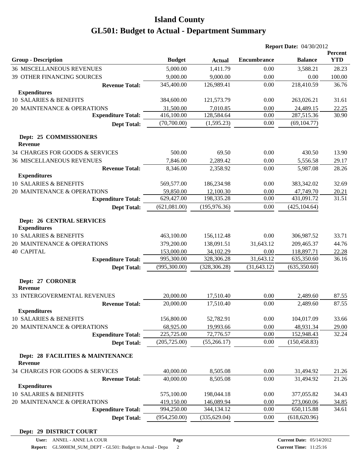|                                                                                              |               |               | <b>Report Date: 04/30/2012</b> |                |                       |  |
|----------------------------------------------------------------------------------------------|---------------|---------------|--------------------------------|----------------|-----------------------|--|
| <b>Group - Description</b>                                                                   | <b>Budget</b> | <b>Actual</b> | <b>Encumbrance</b>             | <b>Balance</b> | Percent<br><b>YTD</b> |  |
| <b>36 MISCELLANEOUS REVENUES</b>                                                             | 5,000.00      | 1,411.79      | 0.00                           | 3,588.21       | 28.23                 |  |
| 39 OTHER FINANCING SOURCES                                                                   | 9,000.00      | 9,000.00      | 0.00                           | 0.00           | 100.00                |  |
| <b>Revenue Total:</b>                                                                        | 345,400.00    | 126,989.41    | 0.00                           | 218,410.59     | 36.76                 |  |
| <b>Expenditures</b>                                                                          |               |               |                                |                |                       |  |
| 10 SALARIES & BENEFITS                                                                       | 384,600.00    | 121,573.79    | 0.00                           | 263,026.21     | 31.61                 |  |
| 20 MAINTENANCE & OPERATIONS                                                                  | 31,500.00     | 7,010.85      | 0.00                           | 24,489.15      | 22.25                 |  |
| <b>Expenditure Total:</b>                                                                    | 416,100.00    | 128,584.64    | 0.00                           | 287,515.36     | 30.90                 |  |
| <b>Dept Total:</b>                                                                           | (70,700.00)   | (1,595.23)    | 0.00                           | (69, 104.77)   |                       |  |
| Dept: 25 COMMISSIONERS<br><b>Revenue</b>                                                     |               |               |                                |                |                       |  |
| 34 CHARGES FOR GOODS & SERVICES                                                              | 500.00        | 69.50         | 0.00                           | 430.50         | 13.90                 |  |
| <b>36 MISCELLANEOUS REVENUES</b>                                                             | 7,846.00      | 2,289.42      | 0.00                           | 5,556.58       | 29.17                 |  |
| <b>Revenue Total:</b>                                                                        | 8,346.00      | 2,358.92      | 0.00                           | 5,987.08       | 28.26                 |  |
| <b>Expenditures</b>                                                                          |               |               |                                |                |                       |  |
| 10 SALARIES & BENEFITS                                                                       | 569,577.00    | 186,234.98    | 0.00                           | 383,342.02     | 32.69                 |  |
| 20 MAINTENANCE & OPERATIONS                                                                  | 59,850.00     | 12,100.30     | 0.00                           | 47,749.70      | 20.21                 |  |
| <b>Expenditure Total:</b>                                                                    | 629,427.00    | 198,335.28    | 0.00                           | 431,091.72     | 31.51                 |  |
| <b>Dept Total:</b>                                                                           | (621,081.00)  | (195, 976.36) | 0.00                           | (425, 104.64)  |                       |  |
| <b>Dept: 26 CENTRAL SERVICES</b><br><b>Expenditures</b><br><b>10 SALARIES &amp; BENEFITS</b> | 463,100.00    | 156,112.48    | 0.00                           | 306,987.52     | 33.71                 |  |
| 20 MAINTENANCE & OPERATIONS                                                                  | 379,200.00    | 138,091.51    | 31,643.12                      | 209,465.37     | 44.76                 |  |
| <b>40 CAPITAL</b>                                                                            | 153,000.00    | 34,102.29     | 0.00                           | 118,897.71     | 22.28                 |  |
| <b>Expenditure Total:</b>                                                                    | 995,300.00    | 328,306.28    | 31,643.12                      | 635,350.60     | 36.16                 |  |
| <b>Dept Total:</b>                                                                           | (995,300.00)  | (328, 306.28) | (31, 643.12)                   | (635,350.60)   |                       |  |
| Dept: 27 CORONER<br><b>Revenue</b>                                                           |               |               |                                |                |                       |  |
| 33 INTERGOVERMENTAL REVENUES                                                                 | 20,000.00     | 17,510.40     | 0.00                           | 2,489.60       | 87.55                 |  |
| <b>Revenue Total:</b>                                                                        | 20,000.00     | 17,510.40     | 0.00                           | 2,489.60       | 87.55                 |  |
| <b>Expenditures</b>                                                                          |               |               |                                |                |                       |  |
| 10 SALARIES & BENEFITS                                                                       | 156,800.00    | 52,782.91     | 0.00                           | 104,017.09     | 33.66                 |  |
| 20 MAINTENANCE & OPERATIONS                                                                  | 68,925.00     | 19,993.66     | 0.00                           | 48,931.34      | 29.00                 |  |
| <b>Expenditure Total:</b>                                                                    | 225,725.00    | 72,776.57     | 0.00                           | 152,948.43     | 32.24                 |  |
| <b>Dept Total:</b>                                                                           | (205, 725.00) | (55, 266.17)  | 0.00                           | (150, 458.83)  |                       |  |
| Dept: 28 FACILITIES & MAINTENANCE<br><b>Revenue</b>                                          |               |               |                                |                |                       |  |
| 34 CHARGES FOR GOODS & SERVICES                                                              | 40,000.00     | 8,505.08      | 0.00                           | 31,494.92      | 21.26                 |  |
| <b>Revenue Total:</b>                                                                        | 40,000.00     | 8,505.08      | 0.00                           | 31,494.92      | 21.26                 |  |
| <b>Expenditures</b>                                                                          |               |               |                                |                |                       |  |
| 10 SALARIES & BENEFITS                                                                       | 575,100.00    | 198,044.18    | 0.00                           | 377,055.82     | 34.43                 |  |
| 20 MAINTENANCE & OPERATIONS                                                                  | 419,150.00    | 146,089.94    | 0.00                           | 273,060.06     | 34.85                 |  |
| <b>Expenditure Total:</b>                                                                    | 994,250.00    | 344,134.12    | 0.00                           | 650,115.88     | 34.61                 |  |
| <b>Dept Total:</b>                                                                           | (954, 250.00) | (335, 629.04) | 0.00                           | (618, 620.96)  |                       |  |

**Dept: 29 DISTRICT COURT**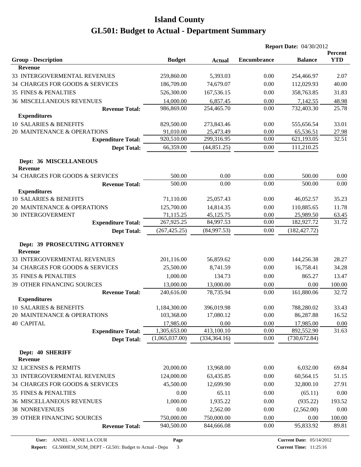|                                                 |                |               | <b>Report Date: 04/30/2012</b> |                |                       |
|-------------------------------------------------|----------------|---------------|--------------------------------|----------------|-----------------------|
| <b>Group - Description</b>                      | <b>Budget</b>  | <b>Actual</b> | <b>Encumbrance</b>             | <b>Balance</b> | Percent<br><b>YTD</b> |
| <b>Revenue</b>                                  |                |               |                                |                |                       |
| 33 INTERGOVERMENTAL REVENUES                    | 259,860.00     | 5,393.03      | 0.00                           | 254,466.97     | 2.07                  |
| 34 CHARGES FOR GOODS & SERVICES                 | 186,709.00     | 74,679.07     | 0.00                           | 112,029.93     | 40.00                 |
| <b>35 FINES &amp; PENALTIES</b>                 | 526,300.00     | 167,536.15    | 0.00                           | 358,763.85     | 31.83                 |
| <b>36 MISCELLANEOUS REVENUES</b>                | 14,000.00      | 6,857.45      | 0.00                           | 7,142.55       | 48.98                 |
| <b>Revenue Total:</b>                           | 986,869.00     | 254,465.70    | 0.00                           | 732,403.30     | 25.78                 |
| <b>Expenditures</b>                             |                |               |                                |                |                       |
| 10 SALARIES & BENEFITS                          | 829,500.00     | 273,843.46    | 0.00                           | 555,656.54     | 33.01                 |
| 20 MAINTENANCE & OPERATIONS                     | 91,010.00      | 25,473.49     | 0.00                           | 65,536.51      | 27.98                 |
| <b>Expenditure Total:</b>                       | 920,510.00     | 299,316.95    | 0.00                           | 621,193.05     | 32.51                 |
| <b>Dept Total:</b>                              | 66,359.00      | (44, 851.25)  | 0.00                           | 111,210.25     |                       |
| Dept: 36 MISCELLANEOUS<br><b>Revenue</b>        |                |               |                                |                |                       |
| 34 CHARGES FOR GOODS & SERVICES                 | 500.00         | 0.00          | 0.00                           | 500.00         | 0.00                  |
| <b>Revenue Total:</b>                           | 500.00         | 0.00          | 0.00                           | 500.00         | 0.00                  |
| <b>Expenditures</b>                             |                |               |                                |                |                       |
| 10 SALARIES & BENEFITS                          | 71,110.00      | 25,057.43     | 0.00                           | 46,052.57      | 35.23                 |
| 20 MAINTENANCE & OPERATIONS                     | 125,700.00     | 14,814.35     | 0.00                           | 110,885.65     | 11.78                 |
| <b>30 INTERGOVERMENT</b>                        | 71,115.25      | 45,125.75     | 0.00                           | 25,989.50      | 63.45                 |
| <b>Expenditure Total:</b>                       | 267,925.25     | 84,997.53     | 0.00                           | 182,927.72     | 31.72                 |
| <b>Dept Total:</b>                              | (267, 425.25)  | (84,997.53)   | 0.00                           | (182, 427.72)  |                       |
| Dept: 39 PROSECUTING ATTORNEY<br><b>Revenue</b> |                |               |                                |                |                       |
| 33 INTERGOVERMENTAL REVENUES                    | 201,116.00     | 56,859.62     | 0.00                           | 144,256.38     | 28.27                 |
| 34 CHARGES FOR GOODS & SERVICES                 | 25,500.00      | 8,741.59      | 0.00                           | 16,758.41      | 34.28                 |
| <b>35 FINES &amp; PENALTIES</b>                 | 1,000.00       | 134.73        | 0.00                           | 865.27         | 13.47                 |
| <b>39 OTHER FINANCING SOURCES</b>               | 13,000.00      | 13,000.00     | 0.00                           | 0.00           | 100.00                |
| <b>Revenue Total:</b>                           | 240,616.00     | 78,735.94     | 0.00                           | 161,880.06     | 32.72                 |
| <b>Expenditures</b>                             |                |               |                                |                |                       |
| 10 SALARIES & BENEFITS                          | 1,184,300.00   | 396,019.98    | 0.00                           | 788,280.02     | 33.43                 |
| 20 MAINTENANCE & OPERATIONS                     | 103,368.00     | 17,080.12     | 0.00                           | 86,287.88      | 16.52                 |
| <b>40 CAPITAL</b>                               | 17,985.00      | 0.00          | 0.00                           | 17,985.00      | 0.00                  |
| <b>Expenditure Total:</b>                       | 1,305,653.00   | 413,100.10    | 0.00                           | 892,552.90     | 31.63                 |
| <b>Dept Total:</b>                              | (1,065,037.00) | (334, 364.16) | 0.00                           | (730, 672.84)  |                       |
| Dept: 40 SHERIFF<br><b>Revenue</b>              |                |               |                                |                |                       |
| 32 LICENSES & PERMITS                           | 20,000.00      | 13,968.00     | 0.00                           | 6,032.00       | 69.84                 |
| 33 INTERGOVERMENTAL REVENUES                    | 124,000.00     | 63,435.85     | 0.00                           | 60,564.15      | 51.15                 |
| 34 CHARGES FOR GOODS & SERVICES                 | 45,500.00      | 12,699.90     | 0.00                           | 32,800.10      | 27.91                 |
| <b>35 FINES &amp; PENALTIES</b>                 | 0.00           | 65.11         | 0.00                           | (65.11)        | 0.00                  |
| <b>36 MISCELLANEOUS REVENUES</b>                | 1,000.00       | 1,935.22      | 0.00                           | (935.22)       | 193.52                |
| <b>38 NONREVENUES</b>                           | 0.00           | 2,562.00      | 0.00                           | (2,562.00)     | 0.00                  |
| 39 OTHER FINANCING SOURCES                      | 750,000.00     | 750,000.00    | 0.00                           | 0.00           | 100.00                |
| <b>Revenue Total:</b>                           | 940,500.00     | 844,666.08    | 0.00                           | 95,833.92      | 89.81                 |
|                                                 |                |               |                                |                |                       |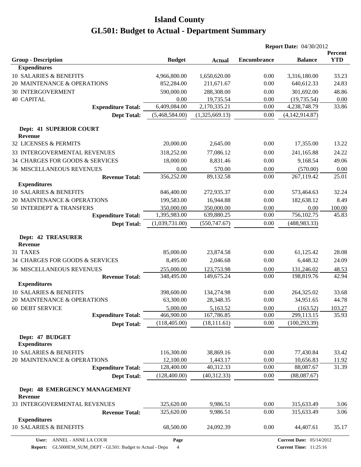|                                               |                |                |                    | <b>Report Date: 04/30/2012</b> |                       |  |
|-----------------------------------------------|----------------|----------------|--------------------|--------------------------------|-----------------------|--|
| <b>Group - Description</b>                    | <b>Budget</b>  | <b>Actual</b>  | <b>Encumbrance</b> | <b>Balance</b>                 | Percent<br><b>YTD</b> |  |
| <b>Expenditures</b>                           |                |                |                    |                                |                       |  |
| 10 SALARIES & BENEFITS                        | 4,966,800.00   | 1,650,620.00   | 0.00               | 3,316,180.00                   | 33.23                 |  |
| 20 MAINTENANCE & OPERATIONS                   | 852,284.00     | 211,671.67     | 0.00               | 640,612.33                     | 24.83                 |  |
| <b>30 INTERGOVERMENT</b>                      | 590,000.00     | 288,308.00     | 0.00               | 301,692.00                     | 48.86                 |  |
| <b>40 CAPITAL</b>                             | 0.00           | 19,735.54      | 0.00               | (19, 735.54)                   | 0.00                  |  |
| <b>Expenditure Total:</b>                     | 6,409,084.00   | 2,170,335.21   | 0.00               | 4,238,748.79                   | 33.86                 |  |
| <b>Dept Total:</b>                            | (5,468,584.00) | (1,325,669.13) | 0.00               | (4, 142, 914.87)               |                       |  |
| Dept: 41 SUPERIOR COURT<br><b>Revenue</b>     |                |                |                    |                                |                       |  |
| 32 LICENSES & PERMITS                         | 20,000.00      | 2,645.00       | 0.00               | 17,355.00                      | 13.22                 |  |
| 33 INTERGOVERMENTAL REVENUES                  | 318,252.00     | 77,086.12      | 0.00               | 241,165.88                     | 24.22                 |  |
| 34 CHARGES FOR GOODS & SERVICES               | 18,000.00      | 8,831.46       | 0.00               | 9,168.54                       | 49.06                 |  |
| <b>36 MISCELLANEOUS REVENUES</b>              | 0.00           | 570.00         | 0.00               | (570.00)                       | 0.00                  |  |
| <b>Revenue Total:</b>                         | 356,252.00     | 89,132.58      | 0.00               | 267,119.42                     | 25.01                 |  |
| <b>Expenditures</b>                           |                |                |                    |                                |                       |  |
| 10 SALARIES & BENEFITS                        | 846,400.00     | 272,935.37     | 0.00               | 573,464.63                     | 32.24                 |  |
| 20 MAINTENANCE & OPERATIONS                   | 199,583.00     | 16,944.88      | 0.00               | 182,638.12                     | 8.49                  |  |
| 50 INTERDEPT & TRANSFERS                      | 350,000.00     | 350,000.00     | 0.00               | 0.00                           | 100.00                |  |
| <b>Expenditure Total:</b>                     | 1,395,983.00   | 639,880.25     | 0.00               | 756,102.75                     | 45.83                 |  |
| <b>Dept Total:</b>                            | (1,039,731.00) | (550, 747.67)  | 0.00               | (488, 983.33)                  |                       |  |
| <b>Dept: 42 TREASURER</b><br>Revenue          |                |                |                    |                                |                       |  |
| 31 TAXES                                      | 85,000.00      | 23,874.58      | 0.00               | 61,125.42                      | 28.08                 |  |
| 34 CHARGES FOR GOODS & SERVICES               | 8,495.00       | 2,046.68       | 0.00               | 6,448.32                       | 24.09                 |  |
| <b>36 MISCELLANEOUS REVENUES</b>              | 255,000.00     | 123,753.98     | 0.00               | 131,246.02                     | 48.53                 |  |
| <b>Revenue Total:</b>                         | 348,495.00     | 149,675.24     | 0.00               | 198,819.76                     | 42.94                 |  |
| <b>Expenditures</b>                           |                |                |                    |                                |                       |  |
| 10 SALARIES & BENEFITS                        | 398,600.00     | 134,274.98     | 0.00               | 264,325.02                     | 33.68                 |  |
| 20 MAINTENANCE & OPERATIONS                   | 63,300.00      | 28,348.35      | 0.00               | 34,951.65                      | 44.78                 |  |
| 60 DEBT SERVICE                               | 5,000.00       | 5,163.52       | 0.00               | (163.52)                       | 103.27                |  |
| <b>Expenditure Total:</b>                     | 466,900.00     | 167,786.85     | 0.00               | 299,113.15                     | 35.93                 |  |
| <b>Dept Total:</b>                            | (118, 405.00)  | (18, 111.61)   | 0.00               | (100, 293.39)                  |                       |  |
| Dept: 47 BUDGET<br><b>Expenditures</b>        |                |                |                    |                                |                       |  |
| 10 SALARIES & BENEFITS                        | 116,300.00     | 38,869.16      | 0.00               | 77,430.84                      | 33.42                 |  |
| 20 MAINTENANCE & OPERATIONS                   | 12,100.00      | 1,443.17       | 0.00               | 10,656.83                      | 11.92                 |  |
| <b>Expenditure Total:</b>                     | 128,400.00     | 40,312.33      | 0.00               | 88,087.67                      | 31.39                 |  |
| <b>Dept Total:</b>                            | (128,400.00)   | (40, 312.33)   | 0.00               | (88,087.67)                    |                       |  |
| Dept: 48 EMERGENCY MANAGEMENT<br>Revenue      |                |                |                    |                                |                       |  |
| 33 INTERGOVERMENTAL REVENUES                  | 325,620.00     | 9,986.51       | 0.00               | 315,633.49                     | 3.06                  |  |
| <b>Revenue Total:</b>                         | 325,620.00     | 9,986.51       | 0.00               | 315,633.49                     | 3.06                  |  |
| <b>Expenditures</b><br>10 SALARIES & BENEFITS | 68,500.00      | 24,092.39      | 0.00               | 44,407.61                      | 35.17                 |  |
|                                               |                |                |                    |                                |                       |  |

**User:** ANNEL - ANNE LA COUR

**Page**

**Report:** GL5000EM\_SUM\_DEPT - GL501: Budget to Actual - Depa 4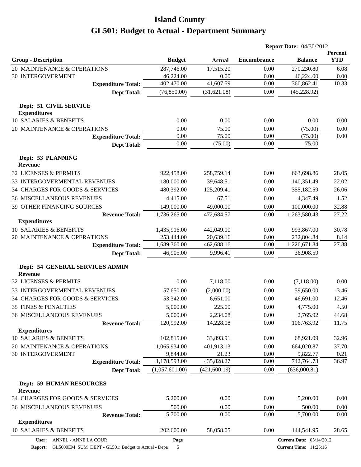|                                                   |                           |                |                     | <b>Report Date: 04/30/2012</b> |                                 |                       |
|---------------------------------------------------|---------------------------|----------------|---------------------|--------------------------------|---------------------------------|-----------------------|
| <b>Group - Description</b>                        |                           | <b>Budget</b>  | <b>Actual</b>       | <b>Encumbrance</b>             | <b>Balance</b>                  | Percent<br><b>YTD</b> |
| 20 MAINTENANCE & OPERATIONS                       |                           | 287,746.00     | 17,515.20           | 0.00                           | 270,230.80                      | 6.08                  |
| <b>30 INTERGOVERMENT</b>                          |                           | 46,224.00      | 0.00                | 0.00                           | 46,224.00                       | 0.00                  |
|                                                   | <b>Expenditure Total:</b> | 402,470.00     | 41,607.59           | 0.00                           | 360,862.41                      | 10.33                 |
|                                                   | <b>Dept Total:</b>        | (76,850.00)    | (31,621.08)         | 0.00                           | (45, 228.92)                    |                       |
| Dept: 51 CIVIL SERVICE<br><b>Expenditures</b>     |                           |                |                     |                                |                                 |                       |
| 10 SALARIES & BENEFITS                            |                           | 0.00           | 0.00                | 0.00                           | 0.00                            | 0.00                  |
| 20 MAINTENANCE & OPERATIONS                       |                           | 0.00           | 75.00               | 0.00                           | (75.00)                         | 0.00                  |
|                                                   | <b>Expenditure Total:</b> | 0.00           | 75.00               | 0.00                           | (75.00)                         | 0.00                  |
|                                                   | <b>Dept Total:</b>        | 0.00           | (75.00)             | 0.00                           | 75.00                           |                       |
| Dept: 53 PLANNING<br><b>Revenue</b>               |                           |                |                     |                                |                                 |                       |
| 32 LICENSES & PERMITS                             |                           | 922,458.00     | 258,759.14          | 0.00                           | 663,698.86                      | 28.05                 |
| 33 INTERGOVERMENTAL REVENUES                      |                           | 180,000.00     | 39,648.51           | 0.00                           | 140,351.49                      | 22.02                 |
| 34 CHARGES FOR GOODS & SERVICES                   |                           | 480,392.00     | 125,209.41          | 0.00                           | 355,182.59                      | 26.06                 |
| <b>36 MISCELLANEOUS REVENUES</b>                  |                           | 4,415.00       | 67.51               | 0.00                           | 4,347.49                        | 1.52                  |
| 39 OTHER FINANCING SOURCES                        |                           | 149,000.00     | 49,000.00           | 0.00                           | 100,000.00                      | 32.88                 |
|                                                   | <b>Revenue Total:</b>     | 1,736,265.00   | 472,684.57          | 0.00                           | 1,263,580.43                    | 27.22                 |
| <b>Expenditures</b>                               |                           |                |                     |                                |                                 |                       |
| 10 SALARIES & BENEFITS                            |                           | 1,435,916.00   | 442,049.00          | 0.00                           | 993,867.00                      | 30.78                 |
| 20 MAINTENANCE & OPERATIONS                       |                           | 253,444.00     | 20,639.16           | 0.00                           | 232,804.84                      | 8.14                  |
|                                                   | <b>Expenditure Total:</b> | 1,689,360.00   | 462,688.16          | 0.00                           | 1,226,671.84                    | 27.38                 |
|                                                   | <b>Dept Total:</b>        | 46,905.00      | 9,996.41            | 0.00                           | 36,908.59                       |                       |
| Dept: 54 GENERAL SERVICES ADMIN<br><b>Revenue</b> |                           |                |                     |                                |                                 |                       |
| 32 LICENSES & PERMITS                             |                           | 0.00           | 7,118.00            | 0.00                           | (7,118.00)                      | 0.00                  |
| 33 INTERGOVERMENTAL REVENUES                      |                           | 57,650.00      | (2,000.00)          | 0.00                           | 59,650.00                       | $-3.46$               |
| 34 CHARGES FOR GOODS & SERVICES                   |                           | 53,342.00      | 6,651.00            | 0.00                           | 46,691.00                       | 12.46                 |
| 35 FINES & PENALTIES                              |                           | 5,000.00       | 225.00              | 0.00                           | 4,775.00                        | 4.50                  |
| 36 MISCELLANEOUS REVENUES                         |                           | 5,000.00       | 2,234.08            | 0.00                           | 2,765.92                        | 44.68                 |
|                                                   | <b>Revenue Total:</b>     | 120,992.00     | 14,228.08           | 0.00                           | 106,763.92                      | 11.75                 |
| <b>Expenditures</b>                               |                           |                |                     |                                |                                 |                       |
| 10 SALARIES & BENEFITS                            |                           | 102,815.00     | 33,893.91           | 0.00                           | 68,921.09                       | 32.96                 |
| 20 MAINTENANCE & OPERATIONS                       |                           | 1,065,934.00   | 401,913.13          | 0.00                           | 664,020.87                      | 37.70                 |
| <b>30 INTERGOVERMENT</b>                          |                           | 9,844.00       | 21.23<br>435,828.27 | 0.00                           | 9,822.77                        | 0.21                  |
|                                                   | <b>Expenditure Total:</b> | 1,178,593.00   |                     | 0.00                           | 742,764.73<br>(636,000.81)      | 36.97                 |
|                                                   | <b>Dept Total:</b>        | (1,057,601.00) | (421, 600.19)       | 0.00                           |                                 |                       |
| <b>Dept: 59 HUMAN RESOURCES</b><br><b>Revenue</b> |                           |                |                     |                                |                                 |                       |
| 34 CHARGES FOR GOODS & SERVICES                   |                           | 5,200.00       | 0.00                | 0.00                           | 5,200.00                        | 0.00                  |
| <b>36 MISCELLANEOUS REVENUES</b>                  |                           | 500.00         | 0.00                | 0.00                           | 500.00                          | 0.00                  |
|                                                   | <b>Revenue Total:</b>     | 5,700.00       | 0.00                | 0.00                           | 5,700.00                        | 0.00                  |
| <b>Expenditures</b>                               |                           |                |                     |                                |                                 |                       |
| 10 SALARIES & BENEFITS                            |                           | 202,600.00     | 58,058.05           | 0.00                           | 144,541.95                      | 28.65                 |
| User: ANNEL - ANNE LA COUR                        |                           | Page           |                     |                                | <b>Current Date: 05/14/2012</b> |                       |

**Report:** GL5000EM\_SUM\_DEPT - GL501: Budget to Actual - Depa 5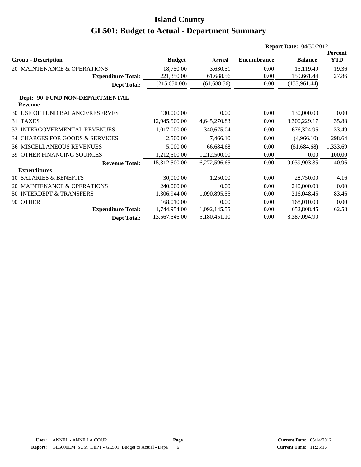|                                                  |               |              |                    | <b>Report Date: 04/30/2012</b> |            |  |
|--------------------------------------------------|---------------|--------------|--------------------|--------------------------------|------------|--|
|                                                  |               |              |                    |                                | Percent    |  |
| <b>Group - Description</b>                       | <b>Budget</b> | Actual       | <b>Encumbrance</b> | <b>Balance</b>                 | <b>YTD</b> |  |
| 20 MAINTENANCE & OPERATIONS                      | 18,750.00     | 3,630.51     | 0.00               | 15,119.49                      | 19.36      |  |
| <b>Expenditure Total:</b>                        | 221,350.00    | 61,688.56    | 0.00               | 159,661.44                     | 27.86      |  |
| <b>Dept Total:</b>                               | (215,650.00)  | (61, 688.56) | 0.00               | (153,961.44)                   |            |  |
| Dept: 90 FUND NON-DEPARTMENTAL<br><b>Revenue</b> |               |              |                    |                                |            |  |
| 30 USE OF FUND BALANCE/RESERVES                  | 130,000.00    | 0.00         | 0.00               | 130,000.00                     | 0.00       |  |
| 31 TAXES                                         | 12,945,500.00 | 4,645,270.83 | 0.00               | 8,300,229.17                   | 35.88      |  |
| <b>33 INTERGOVERMENTAL REVENUES</b>              | 1,017,000.00  | 340,675.04   | 0.00               | 676,324.96                     | 33.49      |  |
| 34 CHARGES FOR GOODS & SERVICES                  | 2,500.00      | 7,466.10     | 0.00               | (4,966.10)                     | 298.64     |  |
| <b>36 MISCELLANEOUS REVENUES</b>                 | 5,000.00      | 66,684.68    | 0.00               | (61, 684.68)                   | 1,333.69   |  |
| 39 OTHER FINANCING SOURCES                       | 1,212,500.00  | 1,212,500.00 | 0.00               | 0.00                           | 100.00     |  |
| <b>Revenue Total:</b>                            | 15,312,500.00 | 6,272,596.65 | 0.00               | 9,039,903.35                   | 40.96      |  |
| <b>Expenditures</b>                              |               |              |                    |                                |            |  |
| <b>10 SALARIES &amp; BENEFITS</b>                | 30,000.00     | 1,250.00     | 0.00               | 28,750.00                      | 4.16       |  |
| 20 MAINTENANCE & OPERATIONS                      | 240,000.00    | 0.00         | 0.00               | 240,000.00                     | 0.00       |  |
| 50 INTERDEPT & TRANSFERS                         | 1,306,944.00  | 1,090,895.55 | 0.00               | 216,048.45                     | 83.46      |  |
| 90 OTHER                                         | 168,010.00    | 0.00         | 0.00               | 168,010.00                     | 0.00       |  |
| <b>Expenditure Total:</b>                        | 1,744,954.00  | 1,092,145.55 | 0.00               | 652,808.45                     | 62.58      |  |
| <b>Dept Total:</b>                               | 13,567,546.00 | 5,180,451.10 | 0.00               | 8,387,094.90                   |            |  |
|                                                  |               |              |                    |                                |            |  |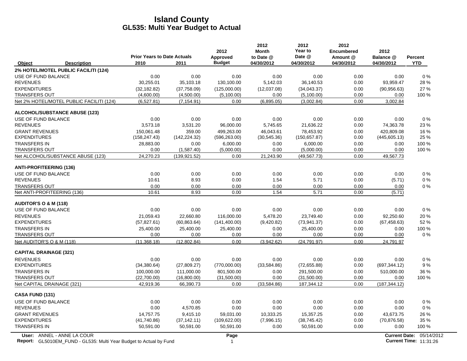|                                                                                                  | <b>Prior Years to Date Actuals</b> |               | 2012<br>Approved | 2012<br><b>Month</b><br>to Date @ | 2012<br>Year to<br>Date @ | 2012<br><b>Encumbered</b><br>Amount @ | 2012<br>Balance @ | <b>Percent</b>                                            |
|--------------------------------------------------------------------------------------------------|------------------------------------|---------------|------------------|-----------------------------------|---------------------------|---------------------------------------|-------------------|-----------------------------------------------------------|
| Object<br><b>Description</b>                                                                     | 2010                               | 2011          | <b>Budget</b>    | 04/30/2012                        | 04/30/2012                | 04/30/2012                            | 04/30/2012        | <b>YTD</b>                                                |
| 2% HOTEL/MOTEL PUBLIC FACILITI (124)                                                             |                                    |               |                  |                                   |                           |                                       |                   |                                                           |
| USE OF FUND BALANCE                                                                              | 0.00                               | 0.00          | 0.00             | 0.00                              | 0.00                      | 0.00                                  | 0.00              | 0%                                                        |
| <b>REVENUES</b>                                                                                  | 30,255.01                          | 35,103.18     | 130,100.00       | 5,142.03                          | 36,140.53                 | 0.00                                  | 93,959.47         | 28 %                                                      |
| <b>EXPENDITURES</b>                                                                              | (32, 182.82)                       | (37,758.09)   | (125,000.00)     | (12,037.08)                       | (34,043.37)               | 0.00                                  | (90, 956.63)      | 27 %                                                      |
| <b>TRANSFERS OUT</b>                                                                             | (4,600.00)                         | (4,500.00)    | (5,100.00)       | 0.00                              | (5,100.00)                | 0.00                                  | 0.00              | 100 %                                                     |
| Net 2% HOTEL/MOTEL PUBLIC FACILITI (124)                                                         | (6,527.81)                         | (7, 154.91)   | 0.00             | (6,895.05)                        | (3,002.84)                | 0.00                                  | 3,002.84          |                                                           |
| <b>ALCOHOL/SUBSTANCE ABUSE (123)</b>                                                             |                                    |               |                  |                                   |                           |                                       |                   |                                                           |
| USE OF FUND BALANCE                                                                              | 0.00                               | 0.00          | 0.00             | 0.00                              | 0.00                      | 0.00                                  | 0.00              | 0%                                                        |
| <b>REVENUES</b>                                                                                  | 3,573.18                           | 3,531.20      | 96,000.00        | 5,745.65                          | 21,636.22                 | 0.00                                  | 74,363.78         | 23 %                                                      |
| <b>GRANT REVENUES</b>                                                                            | 150,061.48                         | 359.00        | 499,263.00       | 46,043.61                         | 78,453.92                 | 0.00                                  | 420,809.08        | 16 %                                                      |
| <b>EXPENDITURES</b>                                                                              | (158, 247.43)                      | (142, 224.32) | (596, 263.00)    | (30,545.36)                       | (150, 657.87)             | 0.00                                  | (445,605.13)      | 25 %                                                      |
| <b>TRANSFERS IN</b>                                                                              | 28,883.00                          | 0.00          | 6,000.00         | 0.00                              | 6,000.00                  | 0.00                                  | 0.00              | 100 %                                                     |
| <b>TRANSFERS OUT</b>                                                                             | 0.00                               | (1,587.40)    | (5,000.00)       | 0.00                              | (5,000.00)                | 0.00                                  | 0.00              | 100 %                                                     |
| Net ALCOHOL/SUBSTANCE ABUSE (123)                                                                | 24,270.23                          | (139, 921.52) | 0.00             | 21,243.90                         | (49, 567.73)              | 0.00                                  | 49,567.73         |                                                           |
| <b>ANTI-PROFITEERING (136)</b>                                                                   |                                    |               |                  |                                   |                           |                                       |                   |                                                           |
| USE OF FUND BALANCE                                                                              | 0.00                               | 0.00          | 0.00             | 0.00                              | 0.00                      | 0.00                                  | 0.00              | 0%                                                        |
| <b>REVENUES</b>                                                                                  | 10.61                              | 8.93          | 0.00             | 1.54                              | 5.71                      | 0.00                                  | (5.71)            | 0%                                                        |
| <b>TRANSFERS OUT</b>                                                                             | 0.00                               | 0.00          | 0.00             | 0.00                              | 0.00                      | 0.00                                  | 0.00              | $0\%$                                                     |
| Net ANTI-PROFITEERING (136)                                                                      | 10.61                              | 8.93          | 0.00             | 1.54                              | 5.71                      | 0.00                                  | (5.71)            |                                                           |
| <b>AUDITOR'S O &amp; M (118)</b>                                                                 |                                    |               |                  |                                   |                           |                                       |                   |                                                           |
| USE OF FUND BALANCE                                                                              | 0.00                               | 0.00          | 0.00             | 0.00                              | 0.00                      | 0.00                                  | 0.00              | $0\%$                                                     |
| <b>REVENUES</b>                                                                                  | 21,059.43                          | 22,660.80     | 116,000.00       | 5,478.20                          | 23,749.40                 | 0.00                                  | 92,250.60         | 20%                                                       |
| <b>EXPENDITURES</b>                                                                              | (57, 827.61)                       | (60, 863.64)  | (141, 400.00)    | (9,420.82)                        | (73, 941.37)              | 0.00                                  | (67, 458.63)      | 52 %                                                      |
| <b>TRANSFERS IN</b>                                                                              | 25,400.00                          | 25,400.00     | 25,400.00        | 0.00                              | 25,400.00                 | 0.00                                  | 0.00              | 100 %                                                     |
| <b>TRANSFERS OUT</b>                                                                             | 0.00                               | 0.00          | 0.00             | 0.00                              | 0.00                      | 0.00                                  | 0.00              | $0\%$                                                     |
| Net AUDITOR'S O & M (118)                                                                        | (11, 368.18)                       | (12,802.84)   | 0.00             | (3,942.62)                        | (24, 791.97)              | 0.00                                  | 24,791.97         |                                                           |
| <b>CAPITAL DRAINAGE (321)</b>                                                                    |                                    |               |                  |                                   |                           |                                       |                   |                                                           |
| <b>REVENUES</b>                                                                                  | 0.00                               | 0.00          | 0.00             | 0.00                              | 0.00                      | 0.00                                  | 0.00              | 0%                                                        |
| <b>EXPENDITURES</b>                                                                              | (34, 380.64)                       | (27,809.27)   | (770,000.00)     | (33,584.86)                       | (72,655.88)               | 0.00                                  | (697, 344.12)     | 9%                                                        |
| <b>TRANSFERS IN</b>                                                                              | 100,000.00                         | 111,000.00    | 801,500.00       | 0.00                              | 291,500.00                | 0.00                                  | 510,000.00        | 36 %                                                      |
| <b>TRANSFERS OUT</b>                                                                             | (22,700.00)                        | (16,800.00)   | (31,500.00)      | 0.00                              | (31,500.00)               | 0.00                                  | 0.00              | 100 %                                                     |
| Net CAPITAL DRAINAGE (321)                                                                       | 42,919.36                          | 66,390.73     | 0.00             | (33,584.86)                       | 187,344.12                | 0.00                                  | (187, 344.12)     |                                                           |
| <b>CASA FUND (131)</b>                                                                           |                                    |               |                  |                                   |                           |                                       |                   |                                                           |
| USE OF FUND BALANCE                                                                              | 0.00                               | 0.00          | 0.00             | 0.00                              | 0.00                      | 0.00                                  | 0.00              | 0%                                                        |
| <b>REVENUES</b>                                                                                  | 0.00                               | 4,570.85      | 0.00             | 0.00                              | 0.00                      | 0.00                                  | 0.00              | 0%                                                        |
| <b>GRANT REVENUES</b>                                                                            | 14,757.75                          | 9,415.10      | 59.031.00        | 10,333.25                         | 15,357.25                 | 0.00                                  | 43,673.75         | 26 %                                                      |
| <b>EXPENDITURES</b>                                                                              | (41,740.86)                        | (37, 142.11)  | (109, 622.00)    | (7,996.15)                        | (38, 745.42)              | 0.00                                  | (70, 876.58)      | 35 %                                                      |
| <b>TRANSFERS IN</b>                                                                              | 50,591.00                          | 50,591.00     | 50,591.00        | 0.00                              | 50,591.00                 | 0.00                                  | 0.00              | 100 %                                                     |
| User: ANNEL - ANNE LA COUR<br>Report: GL5010EM_FUND - GL535: Multi Year Budget to Actual by Fund |                                    |               | Page<br>1        |                                   |                           |                                       |                   | Current Date: 05/14/2012<br><b>Current Time: 11:31:26</b> |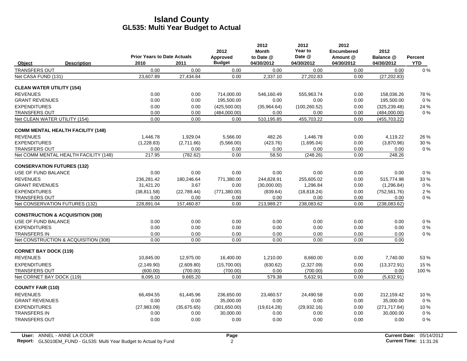|                                             |                                    |             | 2012          | 2012<br><b>Month</b> | 2012<br>Year to | 2012<br><b>Encumbered</b> | 2012          |                |
|---------------------------------------------|------------------------------------|-------------|---------------|----------------------|-----------------|---------------------------|---------------|----------------|
|                                             | <b>Prior Years to Date Actuals</b> |             | Approved      | to Date @            | Date @          | Amount @                  | Balance @     | <b>Percent</b> |
| <b>Description</b><br>Object                | 2010                               | 2011        | <b>Budget</b> | 04/30/2012           | 04/30/2012      | 04/30/2012                | 04/30/2012    | <b>YTD</b>     |
| <b>TRANSFERS OUT</b>                        | 0.00                               | 0.00        | 0.00          | 0.00                 | 0.00            | 0.00                      | 0.00          | $0\%$          |
| Net CASA FUND (131)                         | 23,607.89                          | 27,434.84   | 0.00          | 2,337.10             | 27,202.83       | 0.00                      | (27, 202.83)  |                |
| <b>CLEAN WATER UTILITY (154)</b>            |                                    |             |               |                      |                 |                           |               |                |
| <b>REVENUES</b>                             | 0.00                               | 0.00        | 714,000.00    | 546,160.49           | 555,963.74      | 0.00                      | 158,036.26    | 78%            |
| <b>GRANT REVENUES</b>                       | 0.00                               | 0.00        | 195,500.00    | 0.00                 | 0.00            | 0.00                      | 195,500.00    | $0\%$          |
| <b>EXPENDITURES</b>                         | 0.00                               | 0.00        | (425,500.00)  | (35,964.64)          | (100, 260.52)   | 0.00                      | (325, 239.48) | 24 %           |
| <b>TRANSFERS OUT</b>                        | 0.00                               | 0.00        | (484,000.00)  | 0.00                 | 0.00            | 0.00                      | (484,000.00)  | $0\%$          |
| Net CLEAN WATER UTILITY (154)               | 0.00                               | 0.00        | 0.00          | 510,195.85           | 455,703.22      | 0.00                      | (455, 703.22) |                |
| <b>COMM MENTAL HEALTH FACILITY (148)</b>    |                                    |             |               |                      |                 |                           |               |                |
| <b>REVENUES</b>                             | 1,446.78                           | 1,929.04    | 5,566.00      | 482.26               | 1,446.78        | 0.00                      | 4,119.22      | 26 %           |
| <b>EXPENDITURES</b>                         | (1,228.83)                         | (2,711.66)  | (5,566.00)    | (423.76)             | (1,695.04)      | 0.00                      | (3,870.96)    | 30 %           |
| <b>TRANSFERS OUT</b>                        | 0.00                               | 0.00        | 0.00          | 0.00                 | 0.00            | 0.00                      | 0.00          | $0\%$          |
| Net COMM MENTAL HEALTH FACILITY (148)       | 217.95                             | (782.62)    | 0.00          | 58.50                | (248.26)        | 0.00                      | 248.26        |                |
| <b>CONSERVATION FUTURES (132)</b>           |                                    |             |               |                      |                 |                           |               |                |
| USE OF FUND BALANCE                         | 0.00                               | 0.00        | 0.00          | 0.00                 | 0.00            | 0.00                      | 0.00          | $0\%$          |
| <b>REVENUES</b>                             | 236,281.42                         | 180,246.64  | 771,380.00    | 244,828.91           | 255,605.02      | 0.00                      | 515,774.98    | 33 %           |
| <b>GRANT REVENUES</b>                       | 31,421.20                          | 3.67        | 0.00          | (30,000.00)          | 1,296.84        | 0.00                      | (1,296.84)    | $0\%$          |
| <b>EXPENDITURES</b>                         | (38, 811.58)                       | (22,789.44) | (771, 380.00) | (839.64)             | (18, 818.24)    | 0.00                      | (752, 561.76) | 2%             |
| <b>TRANSFERS OUT</b>                        | 0.00                               | 0.00        | 0.00          | 0.00                 | 0.00            | 0.00                      | 0.00          | $0\%$          |
| Net CONSERVATION FUTURES (132)              | 228,891.04                         | 157,460.87  | 0.00          | 213,989.27           | 238,083.62      | 0.00                      | (238, 083.62) |                |
| <b>CONSTRUCTION &amp; ACQUISITION (308)</b> |                                    |             |               |                      |                 |                           |               |                |
| USE OF FUND BALANCE                         | 0.00                               | 0.00        | 0.00          | 0.00                 | 0.00            | 0.00                      | 0.00          | $0\%$          |
| <b>EXPENDITURES</b>                         | 0.00                               | 0.00        | 0.00          | 0.00                 | 0.00            | 0.00                      | 0.00          | $0\%$          |
| <b>TRANSFERS IN</b>                         | 0.00                               | 0.00        | 0.00          | 0.00                 | 0.00            | 0.00                      | 0.00          | $0\%$          |
| Net CONSTRUCTION & ACQUISITION (308)        | 0.00                               | 0.00        | 0.00          | 0.00                 | 0.00            | 0.00                      | 0.00          |                |
| <b>CORNET BAY DOCK (119)</b>                |                                    |             |               |                      |                 |                           |               |                |
| <b>REVENUES</b>                             | 10.845.00                          | 12,975.00   | 16,400.00     | 1,210.00             | 8.660.00        | 0.00                      | 7,740.00      | 53%            |
| <b>EXPENDITURES</b>                         | (2, 149.90)                        | (2,609.80)  | (15,700.00)   | (630.62)             | (2,327.09)      | 0.00                      | (13, 372.91)  | 15 %           |
| <b>TRANSFERS OUT</b>                        | (600.00)                           | (700.00)    | (700.00)      | 0.00                 | (700.00)        | 0.00                      | 0.00          | 100 %          |
| Net CORNET BAY DOCK (119)                   | 8,095.10                           | 9,665.20    | 0.00          | 579.38               | 5,632.91        | 0.00                      | (5,632.91)    |                |
| <b>COUNTY FAIR (110)</b>                    |                                    |             |               |                      |                 |                           |               |                |
| <b>REVENUES</b>                             | 66.494.55                          | 61,445.96   | 236.650.00    | 23.460.57            | 24.490.58       | 0.00                      | 212.159.42    | 10%            |
| <b>GRANT REVENUES</b>                       | 0.00                               | 0.00        | 35,000.00     | 0.00                 | 0.00            | 0.00                      | 35,000.00     | 0%             |
| <b>EXPENDITURES</b>                         | (27,983.09)                        | (35.675.65) | (301,650.00)  | (19,614.28)          | (29, 932, 16)   | 0.00                      | (271, 717.84) | 10%            |
| <b>TRANSFERS IN</b>                         | 0.00                               | 0.00        | 30,000.00     | 0.00                 | 0.00            | 0.00                      | 30,000.00     | $0\%$          |
| <b>TRANSFERS OUT</b>                        | 0.00                               | 0.00        | 0.00          | 0.00                 | 0.00            | 0.00                      | 0.00          | $0\%$          |
|                                             |                                    |             |               |                      |                 |                           |               |                |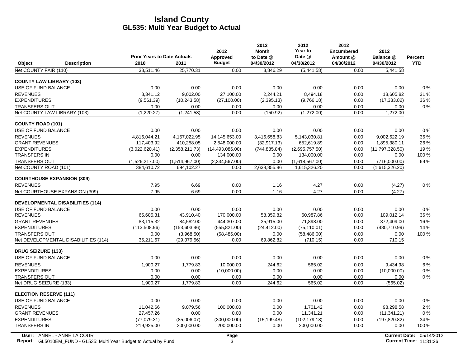|                                         |                                    |                | 2012              | 2012<br><b>Month</b> | 2012<br>Year to | 2012<br><b>Encumbered</b> | 2012            |                |
|-----------------------------------------|------------------------------------|----------------|-------------------|----------------------|-----------------|---------------------------|-----------------|----------------|
|                                         | <b>Prior Years to Date Actuals</b> |                | Approved          | to Date @            | Date @          | Amount @                  | Balance @       | <b>Percent</b> |
| Object<br><b>Description</b>            | 2010                               | 2011           | <b>Budget</b>     | 04/30/2012           | 04/30/2012      | 04/30/2012                | 04/30/2012      | <b>YTD</b>     |
| Net COUNTY FAIR (110)                   | 38,511.46                          | 25.770.31      | 0.00              | 3.846.29             | (5,441.58)      | 0.00                      | 5.441.58        |                |
| <b>COUNTY LAW LIBRARY (103)</b>         |                                    |                |                   |                      |                 |                           |                 |                |
| USE OF FUND BALANCE                     | 0.00                               | 0.00           | 0.00              | 0.00                 | 0.00            | 0.00                      | 0.00            | 0%             |
| <b>REVENUES</b>                         | 8.341.12                           | 9.002.00       | 27.100.00         | 2.244.21             | 8.494.18        | 0.00                      | 18,605.82       | 31 %           |
| <b>EXPENDITURES</b>                     | (9,561.39)                         | (10, 243.58)   | (27, 100.00)      | (2,395.13)           | (9,766.18)      | 0.00                      | (17, 333.82)    | 36 %           |
| <b>TRANSFERS OUT</b>                    | 0.00                               | 0.00           | 0.00              | 0.00                 | 0.00            | 0.00                      | 0.00            | $0\%$          |
| Net COUNTY LAW LIBRARY (103)            | (1,220.27)                         | (1,241.58)     | 0.00              | (150.92)             | (1,272.00)      | 0.00                      | 1,272.00        |                |
| <b>COUNTY ROAD (101)</b>                |                                    |                |                   |                      |                 |                           |                 |                |
| USE OF FUND BALANCE                     | 0.00                               | 0.00           | 0.00              | 0.00                 | 0.00            | 0.00                      | 0.00            | 0%             |
| <b>REVENUES</b>                         | 4,816,044.21                       | 4,157,022.95   | 14,145,653.00     | 3,416,658.83         | 5,143,030.81    | 0.00                      | 9.002.622.19    | 36 %           |
| <b>GRANT REVENUES</b>                   | 117,403.92                         | 410,258.05     | 2,548,000.00      | (32, 917.13)         | 652,619.89      | 0.00                      | 1,895,380.11    | 26 %           |
| <b>EXPENDITURES</b>                     | (3.022.620.41)                     | (2,358,211.73) | (14, 493, 086.00) | (744, 885.84)        | (2,695,757.50)  | 0.00                      | (11,797,328.50) | 19%            |
| <b>TRANSFERS IN</b>                     | 0.00                               | 0.00           | 134,000.00        | 0.00                 | 134,000.00      | 0.00                      | 0.00            | 100 %          |
| <b>TRANSFERS OUT</b>                    | (1,526,217.00)                     | (1,514,967.00) | (2,334,567.00)    | 0.00                 | (1,618,567.00)  | 0.00                      | (716,000.00)    | 69%            |
| Net COUNTY ROAD (101)                   | 384,610.72                         | 694,102.27     | 0.00              | 2,638,855.86         | 1,615,326.20    | 0.00                      | (1,615,326.20)  |                |
| <b>COURTHOUSE EXPANSION (309)</b>       |                                    |                |                   |                      |                 |                           |                 |                |
| <b>REVENUES</b>                         | 7.95                               | 6.69           | 0.00              | 1.16                 | 4.27            | 0.00                      | (4.27)          | $0\%$          |
| Net COURTHOUSE EXPANSION (309)          | 7.95                               | 6.69           | 0.00              | 1.16                 | 4.27            | 0.00                      | (4.27)          |                |
| <b>DEVELOPMENTAL DISABILITIES (114)</b> |                                    |                |                   |                      |                 |                           |                 |                |
| USE OF FUND BALANCE                     | 0.00                               | 0.00           | 0.00              | 0.00                 | 0.00            | 0.00                      | 0.00            | $0\%$          |
| <b>REVENUES</b>                         | 65,605.31                          | 43,910.40      | 170,000.00        | 58,359.82            | 60,987.86       | 0.00                      | 109,012.14      | 36 %           |
| <b>GRANT REVENUES</b>                   | 83.115.32                          | 84.582.00      | 444.307.00        | 35,915.00            | 71.898.00       | 0.00                      | 372.409.00      | 16 %           |
| <b>EXPENDITURES</b>                     | (113,508.96)                       | (153,603.46)   | (555, 821.00)     | (24, 412.00)         | (75, 110.01)    | 0.00                      | (480, 710.99)   | 14 %           |
| <b>TRANSFERS OUT</b>                    | 0.00                               | (3,968.50)     | (58, 486.00)      | 0.00                 | (58, 486.00)    | 0.00                      | 0.00            | 100 %          |
| Net DEVELOPMENTAL DISABILITIES (114)    | 35,211.67                          | (29.079.56)    | 0.00              | 69,862.82            | (710.15)        | 0.00                      | 710.15          |                |
| <b>DRUG SEIZURE (133)</b>               |                                    |                |                   |                      |                 |                           |                 |                |
| USE OF FUND BALANCE                     | 0.00                               | 0.00           | 0.00              | 0.00                 | 0.00            | 0.00                      | 0.00            | 0%             |
| <b>REVENUES</b>                         | 1,900.27                           | 1,779.83       | 10,000.00         | 244.62               | 565.02          | 0.00                      | 9,434.98        | 6 %            |
| <b>EXPENDITURES</b>                     | 0.00                               | 0.00           | (10,000.00)       | 0.00                 | 0.00            | 0.00                      | (10,000.00)     | $0\%$          |
| <b>TRANSFERS OUT</b>                    | 0.00                               | 0.00           | 0.00              | 0.00                 | 0.00            | 0.00                      | 0.00            | 0%             |
| Net DRUG SEIZURE (133)                  | 1,900.27                           | 1,779.83       | 0.00              | 244.62               | 565.02          | 0.00                      | (565.02)        |                |
| <b>ELECTION RESERVE (111)</b>           |                                    |                |                   |                      |                 |                           |                 |                |
| USE OF FUND BALANCE                     | 0.00                               | 0.00           | 0.00              | 0.00                 | 0.00            | 0.00                      | 0.00            | $0\%$          |
| <b>REVENUES</b>                         | 11,042.66                          | 9,079.56       | 100,000.00        | 0.00                 | 1.701.42        | 0.00                      | 98.298.58       | 2%             |
| <b>GRANT REVENUES</b>                   | 27,457.26                          | 0.00           | 0.00              | 0.00                 | 11,341.21       | 0.00                      | (11, 341.21)    | $0\%$          |
| <b>EXPENDITURES</b>                     | (77,079.31)                        | (85,006.07)    | (300,000.00)      | (15, 199.48)         | (102, 179.18)   | 0.00                      | (197, 820.82)   | 34 %           |
| <b>TRANSFERS IN</b>                     | 219,925.00                         | 200,000.00     | 200,000.00        | 0.00                 | 200,000.00      | 0.00                      | 0.00            | 100 %          |
|                                         |                                    |                |                   |                      |                 |                           |                 |                |

 $\overline{\phantom{a}}$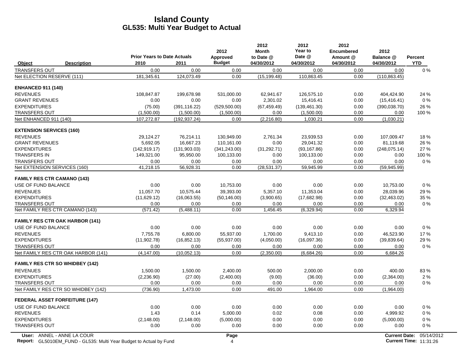|                                 |                                        | <b>Prior Years to Date Actuals</b> |               | 2012<br>Approved | 2012<br><b>Month</b><br>to Date @ | 2012<br>Year to<br>Date @ | 2012<br><b>Encumbered</b><br>Amount @ | 2012<br>Balance @    | Percent    |
|---------------------------------|----------------------------------------|------------------------------------|---------------|------------------|-----------------------------------|---------------------------|---------------------------------------|----------------------|------------|
| Object                          | <b>Description</b>                     | 2010                               | 2011          | <b>Budget</b>    | 04/30/2012                        | 04/30/2012                | 04/30/2012                            | 04/30/2012           | <b>YTD</b> |
| <b>TRANSFERS OUT</b>            |                                        | 0.00                               | 0.00          | 0.00             | 0.00                              | 0.00                      | 0.00                                  | 0.00                 | $0\%$      |
| Net ELECTION RESERVE (111)      |                                        | 181,345.61                         | 124,073.49    | 0.00             | (15, 199.48)                      | 110,863.45                | 0.00                                  | (110, 863.45)        |            |
| <b>ENHANCED 911 (140)</b>       |                                        |                                    |               |                  |                                   |                           |                                       |                      |            |
| <b>REVENUES</b>                 |                                        | 108,847.87                         | 199,678.98    | 531,000.00       | 62,941.67                         | 126,575.10                | 0.00                                  | 404.424.90           | 24 %       |
| <b>GRANT REVENUES</b>           |                                        | 0.00                               | 0.00          | 0.00             | 2,301.02                          | 15,416.41                 | 0.00                                  | (15, 416.41)         | $0\%$      |
| <b>EXPENDITURES</b>             |                                        | (75.00)                            | (391, 116.22) | (529, 500.00)    | (67, 459.49)                      | (139, 461.30)             | 0.00                                  | (390, 038.70)        | 26 %       |
| <b>TRANSFERS OUT</b>            |                                        | (1,500.00)                         | (1,500.00)    | (1,500.00)       | 0.00                              | (1,500.00)                | 0.00                                  | 0.00                 | $100\%$    |
| Net ENHANCED 911 (140)          |                                        | 107,272.87                         | (192, 937.24) | 0.00             | (2, 216.80)                       | 1,030.21                  | 0.00                                  | (1,030.21)           |            |
| <b>EXTENSION SERVICES (160)</b> |                                        |                                    |               |                  |                                   |                           |                                       |                      |            |
| <b>REVENUES</b>                 |                                        | 29,124.27                          | 76,214.11     | 130,949.00       | 2,761.34                          | 23,939.53                 | 0.00                                  | 107,009.47           | 18%        |
| <b>GRANT REVENUES</b>           |                                        | 5,692.05                           | 16,667.23     | 110,161.00       | 0.00                              | 29,041.32                 | 0.00                                  | 81,119.68            | 26 %       |
| <b>EXPENDITURES</b>             |                                        | (142, 919.17)                      | (131,903.03)  | (341, 243.00)    | (31, 292.71)                      | (93, 167.86)              | 0.00                                  | (248, 075, 14)       | 27 %       |
| <b>TRANSFERS IN</b>             |                                        | 149,321.00                         | 95,950.00     | 100,133.00       | 0.00                              | 100,133.00                | 0.00                                  | 0.00                 | 100 %      |
| <b>TRANSFERS OUT</b>            |                                        | 0.00                               | 0.00          | 0.00             | 0.00                              | 0.00                      | 0.00                                  | 0.00                 | $0\%$      |
| Net EXTENSION SERVICES (160)    |                                        | 41,218.15                          | 56,928.31     | 0.00             | (28, 531.37)                      | 59,945.99                 | 0.00                                  | (59, 945.99)         |            |
|                                 | <b>FAMILY RES CTR CAMANO (143)</b>     |                                    |               |                  |                                   |                           |                                       |                      |            |
| USE OF FUND BALANCE             |                                        | 0.00                               | 0.00          | 10,753.00        | 0.00                              | 0.00                      | 0.00                                  | 10,753.00            | $0\%$      |
| <b>REVENUES</b>                 |                                        | 11,057.70                          | 10,575.44     | 39,393.00        | 5,357.10                          | 11,353.04                 | 0.00                                  | 28,039.96            | 29 %       |
| <b>EXPENDITURES</b>             |                                        | (11,629.12)                        | (16,063.55)   | (50, 146.00)     | (3,900.65)                        | (17,682.98)               | 0.00                                  | (32, 463.02)         | 35 %       |
| <b>TRANSFERS OUT</b>            |                                        | 0.00                               | 0.00          | 0.00             | 0.00                              | 0.00                      | 0.00                                  | 0.00                 | $0\%$      |
|                                 | Net FAMILY RES CTR CAMANO (143)        | (571.42)                           | (5,488.11)    | 0.00             | 1,456.45                          | (6,329.94)                | 0.00                                  | 6,329.94             |            |
|                                 | <b>FAMILY RES CTR OAK HARBOR (141)</b> |                                    |               |                  |                                   |                           |                                       |                      |            |
| USE OF FUND BALANCE             |                                        | 0.00                               | 0.00          | 0.00             | 0.00                              | 0.00                      | 0.00                                  | 0.00                 | $0\%$      |
| <b>REVENUES</b>                 |                                        | 7.755.78                           | 6.800.00      | 55.937.00        | 1.700.00                          | 9.413.10                  | 0.00                                  | 46.523.90            | 17 %       |
| <b>EXPENDITURES</b>             |                                        | (11,902.78)                        | (16, 852.13)  | (55, 937.00)     | (4,050.00)                        | (16,097.36)               | 0.00                                  | (39, 839.64)         | 29 %       |
| <b>TRANSFERS OUT</b>            |                                        | 0.00                               | 0.00          | 0.00             | 0.00                              | 0.00                      | 0.00                                  | 0.00                 | $0\%$      |
|                                 | Net FAMILY RES CTR OAK HARBOR (141)    | (4, 147.00)                        | (10.052.13)   | 0.00             | (2,350.00)                        | (6,684.26)                | 0.00                                  | 6,684.26             |            |
|                                 | <b>FAMILY RES CTR SO WHIDBEY (142)</b> |                                    |               |                  |                                   |                           |                                       |                      |            |
| <b>REVENUES</b>                 |                                        | 1,500.00                           | 1,500.00      | 2,400.00         | 500.00                            | 2,000.00                  | 0.00                                  | 400.00               | 83%        |
| <b>EXPENDITURES</b>             |                                        | (2, 236.90)                        | (27.00)       | (2,400.00)       | (9.00)                            | (36.00)                   | 0.00                                  | (2,364.00)           | 2%         |
| <b>TRANSFERS OUT</b>            |                                        | 0.00                               | 0.00          | 0.00             | 0.00                              | 0.00                      | 0.00                                  | 0.00                 | $0\%$      |
|                                 | Net FAMILY RES CTR SO WHIDBEY (142)    | (736.90)                           | 1,473.00      | 0.00             | 491.00                            | 1,964.00                  | 0.00                                  | (1,964.00)           |            |
|                                 | <b>FEDERAL ASSET FORFEITURE (147)</b>  |                                    |               |                  |                                   |                           |                                       |                      |            |
| USE OF FUND BALANCE             |                                        | 0.00                               | 0.00          | 0.00             | 0.00                              | 0.00                      | 0.00                                  | 0.00                 | $0\%$      |
| <b>REVENUES</b>                 |                                        | 1.43                               | 0.14          | 5,000.00         | 0.02                              | 0.08                      | 0.00                                  | 4,999.92             | $0\%$      |
| <b>EXPENDITURES</b>             |                                        | (2, 148.00)                        | (2, 148.00)   | (5,000.00)       | 0.00                              | 0.00                      | 0.00                                  | (5,000.00)           | $0\%$      |
| <b>TRANSFERS OUT</b>            |                                        | 0.00                               | 0.00          | 0.00             | 0.00                              | 0.00                      | 0.00                                  | 0.00                 | $0\%$      |
|                                 | User: ANNEL - ANNE LA COUR             |                                    |               | Page             |                                   |                           |                                       | <b>Current Date:</b> | 05/14/2    |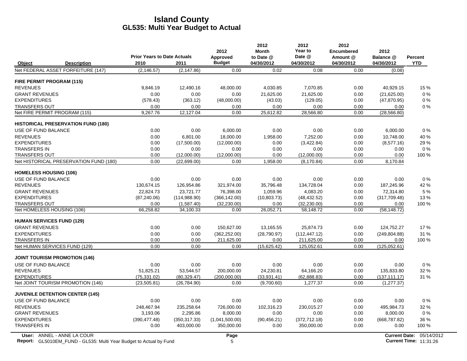|                                      |                                           |                                    |               | 2012           | 2012<br><b>Month</b> | 2012<br>Year to | 2012<br><b>Encumbered</b> | 2012           |                |
|--------------------------------------|-------------------------------------------|------------------------------------|---------------|----------------|----------------------|-----------------|---------------------------|----------------|----------------|
|                                      |                                           | <b>Prior Years to Date Actuals</b> |               | Approved       | to Date @            | Date @          | Amount @                  | Balance @      | <b>Percent</b> |
| Object                               | <b>Description</b>                        | 2010                               | 2011          | <b>Budget</b>  | 04/30/2012           | 04/30/2012      | 04/30/2012                | 04/30/2012     | <b>YTD</b>     |
|                                      | Net FEDERAL ASSET FORFEITURE (147)        | (2, 146.57)                        | (2, 147.86)   | 0.00           | 0.02                 | 0.08            | 0.00                      | (0.08)         |                |
| <b>FIRE PERMIT PROGRAM (115)</b>     |                                           |                                    |               |                |                      |                 |                           |                |                |
| <b>REVENUES</b>                      |                                           | 9,846.19                           | 12,490.16     | 48,000.00      | 4,030.85             | 7,070.85        | 0.00                      | 40,929.15      | 15 %           |
| <b>GRANT REVENUES</b>                |                                           | 0.00                               | 0.00          | 0.00           | 21,625.00            | 21.625.00       | 0.00                      | (21,625.00)    | $0\ \%$        |
| <b>EXPENDITURES</b>                  |                                           | (578.43)                           | (363.12)      | (48,000.00)    | (43.03)              | (129.05)        | 0.00                      | (47, 870.95)   | $0\%$          |
| <b>TRANSFERS OUT</b>                 |                                           | 0.00                               | 0.00          | 0.00           | 0.00                 | 0.00            | 0.00                      | 0.00           | 0%             |
| Net FIRE PERMIT PROGRAM (115)        |                                           | 9,267.76                           | 12,127.04     | 0.00           | 25,612.82            | 28,566.80       | 0.00                      | (28, 566.80)   |                |
|                                      | <b>HISTORICAL PRESERVATION FUND (180)</b> |                                    |               |                |                      |                 |                           |                |                |
| <b>USE OF FUND BALANCE</b>           |                                           | 0.00                               | 0.00          | 6,000.00       | 0.00                 | 0.00            | 0.00                      | 6,000.00       | 0%             |
| <b>REVENUES</b>                      |                                           | 0.00                               | 6,801.00      | 18,000.00      | 1,958.00             | 7,252.00        | 0.00                      | 10,748.00      | 40 %           |
| <b>EXPENDITURES</b>                  |                                           | 0.00                               | (17,500.00)   | (12,000.00)    | 0.00                 | (3,422.84)      | 0.00                      | (8,577.16)     | 29 %           |
| <b>TRANSFERS IN</b>                  |                                           | 0.00                               | 0.00          | 0.00           | 0.00                 | 0.00            | 0.00                      | 0.00           | 0%             |
| <b>TRANSFERS OUT</b>                 |                                           | 0.00                               | (12,000.00)   | (12,000.00)    | 0.00                 | (12,000.00)     | 0.00                      | 0.00           | 100 %          |
|                                      | Net HISTORICAL PRESERVATION FUND (180)    | 0.00                               | (22,699.00)   | 0.00           | 1,958.00             | (8, 170.84)     | 0.00                      | 8,170.84       |                |
| <b>HOMELESS HOUSING (106)</b>        |                                           |                                    |               |                |                      |                 |                           |                |                |
| <b>USE OF FUND BALANCE</b>           |                                           | 0.00                               | 0.00          | 0.00           | 0.00                 | 0.00            | 0.00                      | 0.00           | 0%             |
| <b>REVENUES</b>                      |                                           | 130.674.15                         | 126,954.86    | 321.974.00     | 35.796.48            | 134.728.04      | 0.00                      | 187,245.96     | 42 %           |
| <b>GRANT REVENUES</b>                |                                           | 22.824.73                          | 23.721.77     | 76,398.00      | 1,059.96             | 4,083.20        | 0.00                      | 72,314.80      | 5 %            |
| <b>EXPENDITURES</b>                  |                                           | (87, 240.06)                       | (114,988.90)  | (366, 142.00)  | (10,803.73)          | (48, 432.52)    | 0.00                      | (317,709.48)   | 13%            |
| <b>TRANSFERS OUT</b>                 |                                           | 0.00                               | (1,587.40)    | (32, 230.00)   | 0.00                 | (32, 230.00)    | 0.00                      | 0.00           | 100 %          |
| Net HOMELESS HOUSING (106)           |                                           | 66,258.82                          | 34,100.33     | 0.00           | 26,052.71            | 58,148.72       | 0.00                      | (58, 148.72)   |                |
| <b>HUMAN SERVICES FUND (129)</b>     |                                           |                                    |               |                |                      |                 |                           |                |                |
| <b>GRANT REVENUES</b>                |                                           | 0.00                               | 0.00          | 150,627.00     | 13,165.55            | 25,874.73       | 0.00                      | 124,752.27     | 17%            |
| <b>EXPENDITURES</b>                  |                                           | 0.00                               | 0.00          | (362, 252.00)  | (28,790.97)          | (112, 447.12)   | 0.00                      | (249, 804.88)  | 31 %           |
| <b>TRANSFERS IN</b>                  |                                           | 0.00                               | 0.00          | 211,625.00     | 0.00                 | 211,625.00      | 0.00                      | 0.00           | 100 %          |
| Net HUMAN SERVICES FUND (129)        |                                           | 0.00                               | 0.00          | 0.00           | (15,625.42)          | 125,052.61      | 0.00                      | (125, 052.61)  |                |
| <b>JOINT TOURISM PROMOTION (146)</b> |                                           |                                    |               |                |                      |                 |                           |                |                |
| USE OF FUND BALANCE                  |                                           | 0.00                               | 0.00          | 0.00           | 0.00                 | 0.00            | 0.00                      | 0.00           | 0%             |
| <b>REVENUES</b>                      |                                           | 51.825.21                          | 53.544.57     | 200.000.00     | 24.230.81            | 64.166.20       | 0.00                      | 135.833.80     | 32 %           |
| <b>EXPENDITURES</b>                  |                                           | (75, 331.02)                       | (80.329.47)   | (200,000.00)   | (33,931.41)          | (62, 888.83)    | 0.00                      | (137, 111, 17) | 31 %           |
|                                      | Net JOINT TOURISM PROMOTION (146)         | (23, 505.81)                       | (26, 784.90)  | 0.00           | (9,700.60)           | 1,277.37        | 0.00                      | (1, 277.37)    |                |
|                                      | <b>JUVENILE DETENTION CENTER (145)</b>    |                                    |               |                |                      |                 |                           |                |                |
| USE OF FUND BALANCE                  |                                           | 0.00                               | 0.00          | 0.00           | 0.00                 | 0.00            | 0.00                      | 0.00           | 0%             |
| <b>REVENUES</b>                      |                                           | 248,467.94                         | 235,258.64    | 726,000.00     | 102,316.23           | 230,015.27      | 0.00                      | 495,984.73     | 32 %           |
| <b>GRANT REVENUES</b>                |                                           | 3,193.06                           | 2,295.86      | 8,000.00       | 0.00                 | 0.00            | 0.00                      | 8,000.00       | 0%             |
| <b>EXPENDITURES</b>                  |                                           | (390, 477.48)                      | (350, 317.33) | (1,041,500.00) | (90, 456.21)         | (372, 712.18)   | 0.00                      | (668, 787.82)  | 36 %           |
| <b>TRANSFERS IN</b>                  |                                           | 0.00                               | 403,000.00    | 350,000.00     | 0.00                 | 350,000.00      | 0.00                      | 0.00           | 100 %          |
|                                      |                                           |                                    |               |                |                      |                 |                           |                |                |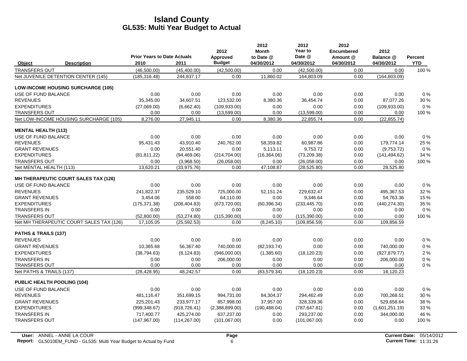|                                             | <b>Prior Years to Date Actuals</b> |               | 2012                      | 2012<br><b>Month</b><br>to Date @ | 2012<br>Year to<br>Date @ | 2012<br><b>Encumbered</b><br>Amount @ | 2012<br>Balance @ | Percent    |
|---------------------------------------------|------------------------------------|---------------|---------------------------|-----------------------------------|---------------------------|---------------------------------------|-------------------|------------|
| Object<br><b>Description</b>                | 2010                               | 2011          | Approved<br><b>Budget</b> | 04/30/2012                        | 04/30/2012                | 04/30/2012                            | 04/30/2012        | <b>YTD</b> |
| <b>TRANSFERS OUT</b>                        | (46,500.00)                        | (45, 400.00)  | (42,500.00)               | 0.00                              | (42,500.00)               | 0.00                                  | 0.00              | 100 %      |
| Net JUVENILE DETENTION CENTER (145)         | (185, 316.48)                      | 244,837.17    | 0.00                      | 11,860.02                         | 164,803.09                | 0.00                                  | (164, 803.09)     |            |
| <b>LOW-INCOME HOUSING SURCHARGE (105)</b>   |                                    |               |                           |                                   |                           |                                       |                   |            |
| USE OF FUND BALANCE                         | 0.00                               | 0.00          | 0.00                      | 0.00                              | 0.00                      | 0.00                                  | 0.00              | 0%         |
| <b>REVENUES</b>                             | 35,345.00                          | 34,607.51     | 123,532.00                | 8,380.36                          | 36,454.74                 | 0.00                                  | 87,077.26         | 30 %       |
| <b>EXPENDITURES</b>                         | (27,069.00)                        | (6,662.40)    | (109.933.00)              | 0.00                              | 0.00                      | 0.00                                  | (109.933.00)      | 0%         |
| <b>TRANSFERS OUT</b>                        | 0.00                               | 0.00          | (13,599.00)               | 0.00                              | (13,599.00)               | 0.00                                  | 0.00              | 100 %      |
| Net LOW-INCOME HOUSING SURCHARGE (105)      | 8,276.00                           | 27,945.11     | 0.00                      | 8,380.36                          | 22,855.74                 | 0.00                                  | (22, 855.74)      |            |
| <b>MENTAL HEALTH (113)</b>                  |                                    |               |                           |                                   |                           |                                       |                   |            |
| USE OF FUND BALANCE                         | 0.00                               | 0.00          | 0.00                      | 0.00                              | 0.00                      | 0.00                                  | 0.00              | 0%         |
| <b>REVENUES</b>                             | 95.431.43                          | 43,910.40     | 240,762.00                | 58,359.82                         | 60,987.86                 | 0.00                                  | 179,774.14        | 25 %       |
| <b>GRANT REVENUES</b>                       | 0.00                               | 20.551.40     | 0.00                      | 5.113.11                          | 9.753.72                  | 0.00                                  | (9,753.72)        | $0\%$      |
| <b>EXPENDITURES</b>                         | (81, 811.22)                       | (94, 469.06)  | (214, 704.00)             | (16, 364.06)                      | (73,209.38)               | 0.00                                  | (141, 494.62)     | 34 %       |
| <b>TRANSFERS OUT</b>                        | 0.00                               | (3,968.50)    | (26,058.00)               | 0.00                              | (26,058.00)               | 0.00                                  | 0.00              | 100 %      |
| Net MENTAL HEALTH (113)                     | 13,620.21                          | (33,975.76)   | 0.00                      | 47,108.87                         | (28, 525.80)              | 0.00                                  | 28,525.80         |            |
| <b>MH THERAPEUTIC COURT SALES TAX (126)</b> |                                    |               |                           |                                   |                           |                                       |                   |            |
| USE OF FUND BALANCE                         | 0.00                               | 0.00          | 0.00                      | 0.00                              | 0.00                      | 0.00                                  | 0.00              | 0%         |
| <b>REVENUES</b>                             | 241.822.37                         | 235.529.10    | 725,000.00                | 52.151.24                         | 229.632.47                | 0.00                                  | 495,367.53        | 32 %       |
| <b>GRANT REVENUES</b>                       | 3,454.06                           | 558.00        | 64,110.00                 | 0.00                              | 9,346.64                  | 0.00                                  | 54,763.36         | 15 %       |
| <b>EXPENDITURES</b>                         | (175, 371.38)                      | (208, 404.83) | (673, 720.00)             | (60, 396.34)                      | (233, 445.70)             | 0.00                                  | (440, 274, 30)    | 35 %       |
| <b>TRANSFERS IN</b>                         | 0.00                               | 0.00          | 0.00                      | 0.00                              | 0.00                      | 0.00                                  | 0.00              | $0\%$      |
| <b>TRANSFERS OUT</b>                        | (52,800.00)                        | (53, 274.80)  | (115,390.00)              | 0.00                              | (115, 390.00)             | 0.00                                  | 0.00              | 100 %      |
| Net MH THERAPEUTIC COURT SALES TAX (126)    | 17,105.05                          | (25, 592.53)  | 0.00                      | (8,245.10)                        | (109.856.59)              | 0.00                                  | 109.856.59        |            |
| PATHS & TRAILS (137)                        |                                    |               |                           |                                   |                           |                                       |                   |            |
| <b>REVENUES</b>                             | 0.00                               | 0.00          | 0.00                      | 0.00                              | 0.00                      | 0.00                                  | 0.00              | 0%         |
| <b>GRANT REVENUES</b>                       | 10,365.68                          | 56,367.40     | 740,000.00                | (82, 193.74)                      | 0.00                      | 0.00                                  | 740,000.00        | 0%         |
| <b>EXPENDITURES</b>                         | (38, 794.63)                       | (8, 124.83)   | (946,000.00)              | (1,385.60)                        | (18, 120.23)              | 0.00                                  | (927, 879.77)     | 2%         |
| <b>TRANSFERS IN</b>                         | 0.00                               | 0.00          | 206,000.00                | 0.00                              | 0.00                      | 0.00                                  | 206,000.00        | 0%         |
| <b>TRANSFERS OUT</b>                        | 0.00                               | 0.00          | 0.00                      | 0.00                              | 0.00                      | 0.00                                  | 0.00              | 0%         |
| Net PATHS & TRAILS (137)                    | (28, 428.95)                       | 48,242.57     | 0.00                      | (83, 579.34)                      | (18, 120.23)              | 0.00                                  | 18,120.23         |            |
| <b>PUBLIC HEALTH POOLING (104)</b>          |                                    |               |                           |                                   |                           |                                       |                   |            |
| USE OF FUND BALANCE                         | 0.00                               | 0.00          | 0.00                      | 0.00                              | 0.00                      | 0.00                                  | 0.00              | 0%         |
| <b>REVENUES</b>                             | 481,116.47                         | 351,699.15    | 994,731.00                | 84,304.37                         | 294,462.49                | 0.00                                  | 700,268.51        | 30 %       |
| <b>GRANT REVENUES</b>                       | 225.201.43                         | 233,977.17    | 857,998.00                | 37,957.00                         | 328,339.36                | 0.00                                  | 529.658.64        | 38 %       |
| <b>EXPENDITURES</b>                         | (999, 348.67)                      | (918, 726.41) | (2,388,899.00)            | (190, 488.04)                     | (787, 647.81)             | 0.00                                  | (1,601,251.19)    | 33 %       |
| <b>TRANSFERS IN</b>                         | 717,400.77                         | 425,274.00    | 637,237.00                | 0.00                              | 293,237.00                | 0.00                                  | 344,000.00        | 46 %       |
| <b>TRANSFERS OUT</b>                        | (147, 967.00)                      | (114, 267.00) | (101,067.00)              | 0.00                              | (101,067.00)              | 0.00                                  | 0.00              | 100 %      |
|                                             |                                    |               |                           |                                   |                           |                                       |                   |            |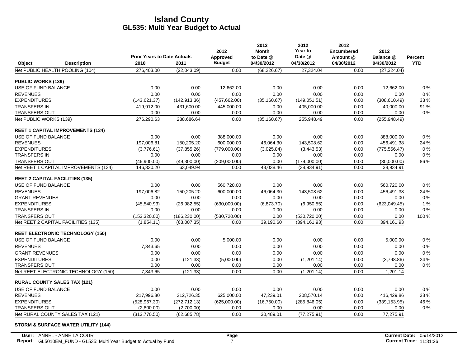|                           |                                          | <b>Prior Years to Date Actuals</b> |               | 2012                      | 2012<br><b>Month</b>    | 2012<br>Year to<br>Date @ | 2012<br><b>Encumbered</b> | 2012                    |                       |
|---------------------------|------------------------------------------|------------------------------------|---------------|---------------------------|-------------------------|---------------------------|---------------------------|-------------------------|-----------------------|
| Object                    | <b>Description</b>                       | 2010                               | 2011          | Approved<br><b>Budget</b> | to Date @<br>04/30/2012 | 04/30/2012                | Amount @<br>04/30/2012    | Balance @<br>04/30/2012 | Percent<br><b>YTD</b> |
|                           | Net PUBLIC HEALTH POOLING (104)          | 276,403.00                         | (22,043.09)   | 0.00                      | (68, 226.67)            | 27,324.04                 | 0.00                      | (27, 324.04)            |                       |
| <b>PUBLIC WORKS (139)</b> |                                          |                                    |               |                           |                         |                           |                           |                         |                       |
| USE OF FUND BALANCE       |                                          | 0.00                               | 0.00          | 12,662.00                 | 0.00                    | 0.00                      | 0.00                      | 12,662.00               | 0%                    |
| <b>REVENUES</b>           |                                          | 0.00                               | 0.00          | 0.00                      | 0.00                    | 0.00                      | 0.00                      | 0.00                    | 0%                    |
| <b>EXPENDITURES</b>       |                                          | (143, 621.37)                      | (142, 913.36) | (457, 662.00)             | (35, 160.67)            | (149,051.51)              | 0.00                      | (308, 610.49)           | 33 %                  |
| <b>TRANSFERS IN</b>       |                                          | 419,912.00                         | 431,600.00    | 445,000.00                | 0.00                    | 405,000.00                | 0.00                      | 40,000.00               | 91 %                  |
| TRANSFERS OUT             |                                          | 0.00                               | 0.00          | 0.00                      | 0.00                    | 0.00                      | 0.00                      | 0.00                    | 0%                    |
| Net PUBLIC WORKS (139)    |                                          | 276,290.63                         | 288,686.64    | 0.00                      | (35, 160.67)            | 255,948.49                | 0.00                      | (255, 948.49)           |                       |
|                           | <b>REET 1 CAPITAL IMPROVEMENTS (134)</b> |                                    |               |                           |                         |                           |                           |                         |                       |
| USE OF FUND BALANCE       |                                          | 0.00                               | 0.00          | 388,000.00                | 0.00                    | 0.00                      | 0.00                      | 388,000.00              | 0%                    |
| <b>REVENUES</b>           |                                          | 197,006.81                         | 150,205.20    | 600,000.00                | 46,064.30               | 143,508.62                | 0.00                      | 456,491.38              | 24 %                  |
| <b>EXPENDITURES</b>       |                                          | (3,776.61)                         | (37, 855.26)  | (779,000.00)              | (3,025.84)              | (3,443.53)                | 0.00                      | (775, 556.47)           | 0%                    |
| <b>TRANSFERS IN</b>       |                                          | 0.00                               | 0.00          | 0.00                      | 0.00                    | 0.00                      | 0.00                      | 0.00                    | $0\%$                 |
| <b>TRANSFERS OUT</b>      |                                          | (46,900.00)                        | (49,300.00)   | (209,000.00)              | 0.00                    | (179,000.00)              | 0.00                      | (30,000.00)             | 86 %                  |
|                           | Net REET 1 CAPITAL IMPROVEMENTS (134)    | 146,330.20                         | 63,049.94     | 0.00                      | 43,038.46               | (38,934.91)               | 0.00                      | 38,934.91               |                       |
|                           | <b>REET 2 CAPITAL FACILITIES (135)</b>   |                                    |               |                           |                         |                           |                           |                         |                       |
| USE OF FUND BALANCE       |                                          | 0.00                               | 0.00          | 560,720.00                | 0.00                    | 0.00                      | 0.00                      | 560,720.00              | 0%                    |
| <b>REVENUES</b>           |                                          | 197,006.82                         | 150,205.20    | 600,000.00                | 46,064.30               | 143,508.62                | 0.00                      | 456,491.38              | 24 %                  |
| <b>GRANT REVENUES</b>     |                                          | 0.00                               | 0.00          | 0.00                      | 0.00                    | 0.00                      | 0.00                      | 0.00                    | $0\%$                 |
| <b>EXPENDITURES</b>       |                                          | (45, 540.93)                       | (26,982.55)   | (630,000.00)              | (6,873.70)              | (6,950.55)                | 0.00                      | (623,049.45)            | 1%                    |
| <b>TRANSFERS IN</b>       |                                          | 0.00                               | 0.00          | 0.00                      | 0.00                    | 0.00                      | 0.00                      | 0.00                    | 0%                    |
| <b>TRANSFERS OUT</b>      |                                          | (153, 320.00)                      | (186, 230.00) | (530, 720.00)             | 0.00                    | (530, 720.00)             | 0.00                      | 0.00                    | 100 %                 |
|                           | Net REET 2 CAPITAL FACILITIES (135)      | (1,854.11)                         | (63,007.35)   | 0.00                      | 39,190.60               | (394, 161.93)             | 0.00                      | 394,161.93              |                       |
|                           | <b>REET ELECTRONIC TECHNOLOGY (150)</b>  |                                    |               |                           |                         |                           |                           |                         |                       |
| USE OF FUND BALANCE       |                                          | 0.00                               | 0.00          | 5,000.00                  | 0.00                    | 0.00                      | 0.00                      | 5,000.00                | 0%                    |
| <b>REVENUES</b>           |                                          | 7,343.65                           | 0.00          | 0.00                      | 0.00                    | 0.00                      | 0.00                      | 0.00                    | $0\ \%$               |
| <b>GRANT REVENUES</b>     |                                          | 0.00                               | 0.00          | 0.00                      | 0.00                    | 0.00                      | 0.00                      | 0.00                    | 0%                    |
| <b>EXPENDITURES</b>       |                                          | 0.00                               | (121.33)      | (5,000.00)                | 0.00                    | (1,201.14)                | 0.00                      | (3,798.86)              | 24 %                  |
| <b>TRANSFERS OUT</b>      |                                          | 0.00                               | 0.00          | 0.00                      | 0.00                    | 0.00                      | 0.00                      | 0.00                    | 0%                    |
|                           | Net REET ELECTRONIC TECHNOLOGY (150)     | 7,343.65                           | (121.33)      | 0.00                      | 0.00                    | (1,201.14)                | 0.00                      | 1,201.14                |                       |
|                           | <b>RURAL COUNTY SALES TAX (121)</b>      |                                    |               |                           |                         |                           |                           |                         |                       |
| USE OF FUND BALANCE       |                                          | 0.00                               | 0.00          | 0.00                      | 0.00                    | 0.00                      | 0.00                      | 0.00                    | 0%                    |
| <b>REVENUES</b>           |                                          | 217.996.80                         | 212,726.35    | 625,000.00                | 47.239.01               | 208,570.14                | 0.00                      | 416,429.86              | 33 %                  |
| <b>EXPENDITURES</b>       |                                          | (528, 967.30)                      | (272, 712.13) | (625,000.00)              | (16,750.00)             | (285, 846.05)             | 0.00                      | (339, 153.95)           | 46 %                  |
| <b>TRANSFERS OUT</b>      |                                          | (2,800.00)                         | (2,700.00)    | 0.00                      | 0.00                    | 0.00                      | 0.00                      | 0.00                    | 0%                    |
|                           | Net RURAL COUNTY SALES TAX (121)         | (313,770.50)                       | (62, 685.78)  | 0.00                      | 30.489.01               | (77, 275.91)              | 0.00                      | 77,275.91               |                       |

#### **STORM & SURFACE WATER UTILITY (144)**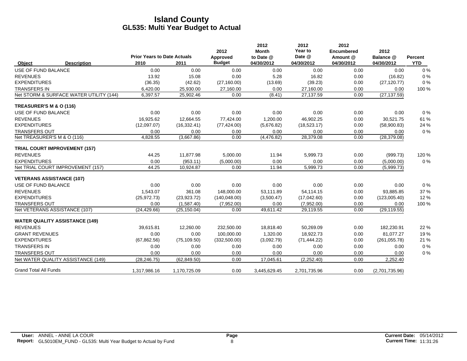|                                         |                    |                                            |              | 2012                      | 2012<br><b>Month</b>    | 2012<br>Year to      | 2012<br><b>Encumbered</b> | 2012                    |                       |
|-----------------------------------------|--------------------|--------------------------------------------|--------------|---------------------------|-------------------------|----------------------|---------------------------|-------------------------|-----------------------|
| Object                                  | <b>Description</b> | <b>Prior Years to Date Actuals</b><br>2010 | 2011         | Approved<br><b>Budget</b> | to Date @<br>04/30/2012 | Date @<br>04/30/2012 | Amount @<br>04/30/2012    | Balance @<br>04/30/2012 | Percent<br><b>YTD</b> |
| <b>USE OF FUND BALANCE</b>              |                    | 0.00                                       | 0.00         | 0.00                      | 0.00                    | 0.00                 | 0.00                      | 0.00                    | 0%                    |
| <b>REVENUES</b>                         |                    | 13.92                                      | 15.08        | 0.00                      | 5.28                    | 16.82                | 0.00                      | (16.82)                 | 0%                    |
| <b>EXPENDITURES</b>                     |                    | (36.35)                                    | (42.62)      | (27, 160.00)              | (13.69)                 | (39.23)              | 0.00                      | (27, 120.77)            | 0%                    |
| <b>TRANSFERS IN</b>                     |                    | 6,420.00                                   | 25,930.00    | 27,160.00                 | 0.00                    | 27,160.00            | 0.00                      | 0.00                    | 100 %                 |
| Net STORM & SURFACE WATER UTILITY (144) |                    | 6,397.57                                   | 25,902.46    | 0.00                      | (8.41)                  | 27,137.59            | 0.00                      | (27, 137.59)            |                       |
| TREASURER'S M & O (116)                 |                    |                                            |              |                           |                         |                      |                           |                         |                       |
| USE OF FUND BALANCE                     |                    | 0.00                                       | 0.00         | 0.00                      | 0.00                    | 0.00                 | 0.00                      | 0.00                    | 0%                    |
| <b>REVENUES</b>                         |                    | 16,925.62                                  | 12,664.55    | 77,424.00                 | 1,200.00                | 46,902.25            | 0.00                      | 30,521.75               | 61 %                  |
| <b>EXPENDITURES</b>                     |                    | (12,097.07)                                | (16, 332.41) | (77, 424.00)              | (5,676.82)              | (18,523.17)          | 0.00                      | (58,900.83)             | 24 %                  |
| <b>TRANSFERS OUT</b>                    |                    | 0.00                                       | 0.00         | 0.00                      | 0.00                    | 0.00                 | 0.00                      | 0.00                    | 0%                    |
| Net TREASURER'S M & O (116)             |                    | 4.828.55                                   | (3,667.86)   | 0.00                      | (4,476.82)              | 28,379.08            | 0.00                      | (28, 379.08)            |                       |
| <b>TRIAL COURT IMPROVEMENT (157)</b>    |                    |                                            |              |                           |                         |                      |                           |                         |                       |
| <b>REVENUES</b>                         |                    | 44.25                                      | 11,877.98    | 5,000.00                  | 11.94                   | 5,999.73             | 0.00                      | (999.73)                | 120 %                 |
| <b>EXPENDITURES</b>                     |                    | 0.00                                       | (953.11)     | (5,000.00)                | 0.00                    | 0.00                 | 0.00                      | (5,000.00)              | 0%                    |
| Net TRIAL COURT IMPROVEMENT (157)       |                    | 44.25                                      | 10,924.87    | 0.00                      | 11.94                   | 5,999.73             | 0.00                      | (5,999.73)              |                       |
| <b>VETERANS ASSISTANCE (107)</b>        |                    |                                            |              |                           |                         |                      |                           |                         |                       |
| USE OF FUND BALANCE                     |                    | 0.00                                       | 0.00         | 0.00                      | 0.00                    | 0.00                 | 0.00                      | 0.00                    | 0%                    |
| <b>REVENUES</b>                         |                    | 1.543.07                                   | 361.08       | 148,000.00                | 53,111.89               | 54,114.15            | 0.00                      | 93,885.85               | 37 %                  |
| <b>EXPENDITURES</b>                     |                    | (25, 972.73)                               | (23, 923.72) | (140, 048.00)             | (3,500.47)              | (17,042.60)          | 0.00                      | (123,005.40)            | 12%                   |
| <b>TRANSFERS OUT</b>                    |                    | 0.00                                       | (1,587.40)   | (7,952.00)                | 0.00                    | (7,952.00)           | 0.00                      | 0.00                    | 100 %                 |
| Net VETERANS ASSISTANCE (107)           |                    | (24, 429.66)                               | (25, 150.04) | 0.00                      | 49,611.42               | 29,119.55            | 0.00                      | (29, 119.55)            |                       |
| <b>WATER QUALITY ASSISTANCE (149)</b>   |                    |                                            |              |                           |                         |                      |                           |                         |                       |
| <b>REVENUES</b>                         |                    | 39,615.81                                  | 12,260.00    | 232,500.00                | 18,818.40               | 50,269.09            | 0.00                      | 182,230.91              | 22 %                  |
| <b>GRANT REVENUES</b>                   |                    | 0.00                                       | 0.00         | 100,000.00                | 1.320.00                | 18.922.73            | 0.00                      | 81.077.27               | 19%                   |
| <b>EXPENDITURES</b>                     |                    | (67, 862.56)                               | (75, 109.50) | (332,500.00)              | (3,092.79)              | (71, 444.22)         | 0.00                      | (261, 055.78)           | 21 %                  |
| <b>TRANSFERS IN</b>                     |                    | 0.00                                       | 0.00         | 0.00                      | 0.00                    | 0.00                 | 0.00                      | 0.00                    | $0\%$                 |
| <b>TRANSFERS OUT</b>                    |                    | 0.00                                       | 0.00         | 0.00                      | 0.00                    | 0.00                 | 0.00                      | 0.00                    | 0%                    |
| Net WATER QUALITY ASSISTANCE (149)      |                    | (28.246.75)                                | (62, 849.50) | 0.00                      | 17,045.61               | (2,252.40)           | 0.00                      | 2,252.40                |                       |
| <b>Grand Total All Funds</b>            |                    | 1,317,986.16                               | 1,170,725.09 | 0.00                      | 3,445,629.45            | 2,701,735.96         | 0.00                      | (2,701,735.96)          |                       |